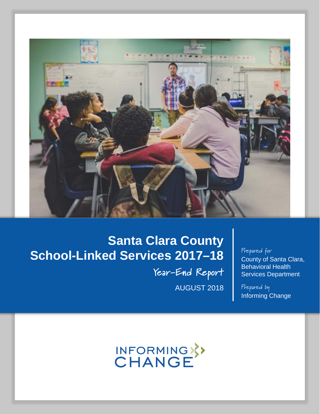

# **Santa Clara County School-Linked Services 2017–18**

**Year-End Report** AUGUST 2018

## Prepared for County of Santa Clara, Behavioral Health Services Department

Prepared by Informing Change

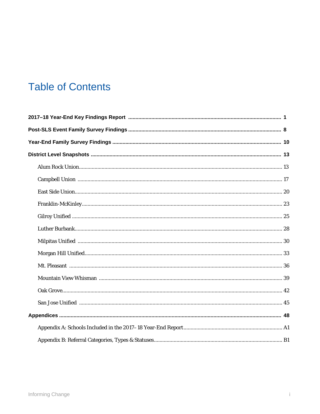## **Table of Contents**

. . . . . . . . . . . . . . . . .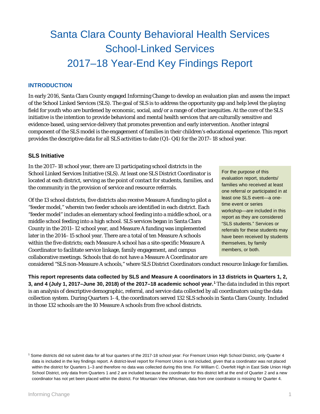# Santa Clara County Behavioral Health Services School-Linked Services 2017–18 Year-End Key Findings Report

## **INTRODUCTION**

In early 2016, Santa Clara County engaged Informing Change to develop an evaluation plan and assess the impact of the School Linked Services (SLS). The goal of SLS is to address the opportunity gap and help level the playing field for youth who are burdened by economic, social, and/or a range of other inequities. At the core of the SLS initiative is the intention to provide behavioral and mental health services that are culturally sensitive and evidence-based, using service delivery that promotes prevention and early intervention. Another integral component of the SLS model is the engagement of families in their children's educational experience. This report provides the descriptive data for all SLS activities to date (Q1–Q4) for the 2017–18 school year.

### **SLS Initiative**

In the 2017–18 school year, there are 13 participating school districts in the School Linked Services Initiative (SLS). At least one SLS District Coordinator is located at each district, serving as the point of contact for students, families, and the community in the provision of service and resource referrals.

Of the 13 school districts, five districts also receive Measure A funding to pilot a "feeder model," wherein two feeder schools are identified in each district. Each "feeder model" includes an elementary school feeding into a middle school, or a middle school feeding into a high school. SLS services began in Santa Clara County in the 2011–12 school year, and Measure A funding was implemented later in the 2014–15 school year. There are a total of ten Measure A schools within the five districts; each Measure A school has a site-specific Measure A Coordinator to facilitate service linkage, family engagement, and campus collaborative meetings. Schools that do not have a Measure A Coordinator are

For the purpose of this evaluation report, students/ families who received at least one referral or participated in at least one SLS event—a onetime event or series workshop—are included in this report as they are considered "SLS students." Services or referrals for these students may have been received by students themselves, by family members, or both.

considered "SLS non-Measure A schools," where SLS District Coordinators conduct resource linkage for families.

**This report represents data collected by SLS and Measure A coordinators in 13 districts in Quarters 1, 2, 3, and 4 (July 1, 2017–June 30, 2018) of the 2017–18 academic school year.[1](#page-2-0)** The data included in this report is an analysis of descriptive demographic, referral, and service data collected by all coordinators using the data collection system. During Quarters 1–4, the coordinators served 132 SLS schools in Santa Clara County. Included in those 132 schools are the 10 Measure A schools from five school districts.

<span id="page-2-0"></span><sup>1</sup> Some districts did not submit data for all four quarters of the 2017-18 school year: For Fremont Union High School District, only Quarter 4 data is included in the key findings report. A district-level report for Fremont Union is not included, given that a coordinator was not placed within the district for Quarters 1–3 and therefore no data was collected during this time. For William C. Overfelt High in East Side Union High School District, only data from Quarters 1 and 2 are included because the coordinator for this district left at the end of Quarter 2 and a new coordinator has not yet been placed within the district. For Mountain View Whisman, data from one coordinator is missing for Quarter 4.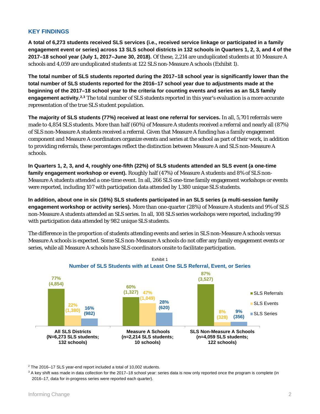## **KEY FINDINGS**

**A total of 6,273 students received SLS services (i.e., received service linkage or participated in a family engagement event or series) across 13 SLS school districts in 132 schools in Quarters 1, 2, 3, and 4 of the 2017–18 school year (July 1, 2017–June 30, 2018).** Of these, 2,214 are unduplicated students at 10 Measure A schools and 4,059 are unduplicated students at 122 SLS non-Measure A schools (Exhibit 1).

**The total number of SLS students reported during the 2017–18 school year is significantly lower than the total number of SLS students reported for the 2016–17 school year due to adjustments made at the beginning of the 2017–18 school year to the criteria for counting events and series as an SLS family engagement activity. [2](#page-3-0),[3](#page-3-1)** The total number of SLS students reported in this year's evaluation is a more accurate representation of the true SLS student population.

**The majority of SLS students (77%) received at least one referral for services.** In all, 5,701 referrals were made to 4,854 SLS students. More than half (60%) of Measure A students received a referral and nearly all (87%) of SLS non-Measure A students received a referral. Given that Measure A funding has a family engagement component and Measure A coordinators organize events and series at the school as part of their work, in addition to providing referrals, these percentages reflect the distinction between Measure A and SLS non-Measure A schools.

**In Quarters 1, 2, 3, and 4, roughly one-fifth (22%) of SLS students attended an SLS event (a one-time family engagement workshop or event).** Roughly half (47%) of Measure A students and 8% of SLS non-Measure A students attended a one-time event. In all, 266 SLS one-time family engagement workshops or events were reported, including 107 with participation data attended by 1,380 unique SLS students.

**In addition, about one in six (16%) SLS students participated in an SLS series (a multi-session family engagement workshop or activity series).** More than one-quarter (28%) of Measure A students and 9% of SLS non-Measure A students attended an SLS series. In all, 108 SLS series workshops were reported, including 99 with participation data attended by 982 unique SLS students.

The difference in the proportion of students attending events and series in SLS non-Measure A schools versus Measure A schools is expected. Some SLS non-Measure A schools do not offer any family engagement events or series, while all Measure A schools have SLS coordinators onsite to facilitate participation.



<span id="page-3-1"></span><span id="page-3-0"></span><sup>2</sup> The 2016–17 SLS year-end report included a total of 10,002 students.

 $3$  A key shift was made in data collection for the 2017–18 school year: series data is now only reported once the program is complete (in 2016–17, data for in-progress series were reported each quarter).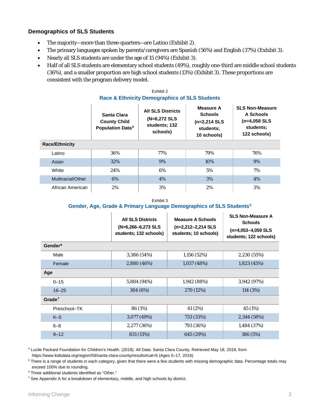## **Demographics of SLS Students**

- The majority—more than three-quarters—are Latino (Exhibit 2).
- The primary languages spoken by parents/caregivers are Spanish (56%) and English (37%) (Exhibit 3).
- Nearly all SLS students are under the age of 15 (94%) (Exhibit 3).
- Half of all SLS students are elementary school students (49%), roughly one-third are middle school students (36%), and a smaller proportion are high school students (13%) (Exhibit 3). These proportions are consistent with the program delivery model.

## Exhibit 2 **Race & Ethnicity Demographics of SLS Students**

|                       | Santa Clara<br><b>County Child</b><br><b>Population Data<sup>4</sup></b> | <b>All SLS Districts</b><br>(N=6,272 SLS<br>students; 132<br>schools) | <b>Measure A</b><br><b>Schools</b><br>$(n=2,214$ SLS<br>students;<br>10 schools) | <b>SLS Non-Measure</b><br>A Schools<br>$(n=4,058$ SLS<br>students;<br>122 schools) |  |
|-----------------------|--------------------------------------------------------------------------|-----------------------------------------------------------------------|----------------------------------------------------------------------------------|------------------------------------------------------------------------------------|--|
| <b>Race/Ethnicity</b> |                                                                          |                                                                       |                                                                                  |                                                                                    |  |
| Latino                | 36%                                                                      | 77%                                                                   | 79%                                                                              | 76%                                                                                |  |
| Asian                 | 32%                                                                      | 9%                                                                    | 10%                                                                              | 9%                                                                                 |  |
| White                 | 24%                                                                      | 6%                                                                    | 5%                                                                               | 7%                                                                                 |  |
| Multiracial/Other     | 6%                                                                       | 4%                                                                    | 3%                                                                               | 4%                                                                                 |  |
| African American      | 2%                                                                       | 3%                                                                    | 2%                                                                               | 3%                                                                                 |  |

Exhibit 3

### **Gender, Age, Grade & Primary Language Demographics of SLS Students[5](#page-4-1)**

|                     | <b>All SLS Districts</b><br>$(N=6, 266-6, 273$ SLS<br>students; 132 schools) | <b>Measure A Schools</b><br>$(n=2,212-2,214$ SLS<br>students; 10 schools) | <b>SLS Non-Measure A</b><br><b>Schools</b><br>$(n=4,053-4,059$ SLS<br>students; 122 schools) |
|---------------------|------------------------------------------------------------------------------|---------------------------------------------------------------------------|----------------------------------------------------------------------------------------------|
| Gender <sup>6</sup> |                                                                              |                                                                           |                                                                                              |
| Male                | 3,386 (54%)                                                                  | 1,156 (52%)                                                               | 2,230 (55%)                                                                                  |
| Female              | 2,880 (46%)                                                                  | 1,057(48%)                                                                | 1,823(45%)                                                                                   |
| Age                 |                                                                              |                                                                           |                                                                                              |
| $0 - 15$            | 5,884 (94%)                                                                  | 1,942 (88%)                                                               | 3,942 (97%)                                                                                  |
| $16 - 25$           | 384 (6%)                                                                     | 270 (12%)                                                                 | 114 (3%)                                                                                     |
| Grade <sup>7</sup>  |                                                                              |                                                                           |                                                                                              |
| Preschool-TK        | 86 (1%)                                                                      | 41 (2%)                                                                   | 45 (1%)                                                                                      |
| $K-5$               | 3,077 (49%)                                                                  | 733 (33%)                                                                 | 2,344 (58%)                                                                                  |
| $6 - 8$             | 2,277 (36%)                                                                  | 793 (36%)                                                                 | 1,484 (37%)                                                                                  |
| $9 - 12$            | 831 (13%)                                                                    | 645 (29%)                                                                 | 186 (5%)                                                                                     |

<span id="page-4-0"></span><sup>4</sup> Lucile Packard Foundation for Children's Health. (2018). All Data: Santa Clara County. Retrieved May 18, 2018, from

https://www.kidsdata.org/region/59/santa-clara-county/results#cat=6 (Ages 0–17, 2016)

<span id="page-4-1"></span><sup>5</sup> There is a range of students in each category, given that there were a few students with missing demographic data. Percentage totals may exceed 100% due to rounding.

<span id="page-4-2"></span><sup>6</sup> Three additional students identified as "Other."

<span id="page-4-3"></span><sup>7</sup> See Appendix A for a breakdown of elementary, middle, and high schools by district.

. . . . . . . . . . .

. . . . . . . .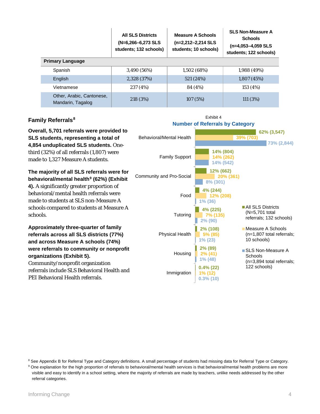|                                                | <b>All SLS Districts</b><br>(N=6,266-6,273 SLS<br>students; 132 schools) | <b>Measure A Schools</b><br>(n=2,212-2,214 SLS<br>students; 10 schools) | <b>SLS Non-Measure A</b><br><b>Schools</b><br>$(n=4,053-4,059$ SLS<br>students; 122 schools) |
|------------------------------------------------|--------------------------------------------------------------------------|-------------------------------------------------------------------------|----------------------------------------------------------------------------------------------|
| <b>Primary Language</b>                        |                                                                          |                                                                         |                                                                                              |
| Spanish                                        | 3,490 (56%)                                                              | 1,502(68%)                                                              | 1,988(49%)                                                                                   |
| English                                        | 2,328 (37%)                                                              | 521 (24%)                                                               | 1,807(45%)                                                                                   |
| Vietnamese                                     | 237 (4%)                                                                 | 84 (4%)                                                                 | 153 (4%)                                                                                     |
| Other, Arabic, Cantonese,<br>Mandarin, Tagalog | 218 (3%)                                                                 | 107(5%)                                                                 | 111(3%)                                                                                      |

### **Family Referrals[8](#page-5-0)**

**Overall, 5,701 referrals were provided to SLS students, representing a total of 4,854 unduplicated SLS students.** Onethird (32%) of all referrals (1,807) were made to 1,327 Measure A students.

**The majority of all SLS referrals were for behavioral/mental health[9](#page-5-1) (62%) (Exhibit 4).** A significantly greater proportion of behavioral/mental health referrals were made to students at SLS non-Measure A schools compared to students at Measure A schools.

**Approximately three-quarter of family referrals across all SLS districts (77%) and across Measure A schools (74%) were referrals to community or nonprofit organizations (Exhibit 5).** Community/nonprofit organization referrals include SLS Behavioral Health and PEI Behavioral Health referrals.



#### <span id="page-5-0"></span><sup>8</sup> See Appendix B for Referral Type and Category definitions. A small percentage of students had missing data for Referral Type or Category.

<span id="page-5-1"></span><sup>9</sup> One explanation for the high proportion of referrals to behavioral/mental health services is that behavioral/mental health problems are more visible and easy to identify in a school setting, where the majority of referrals are made by teachers, unlike needs addressed by the other referral categories.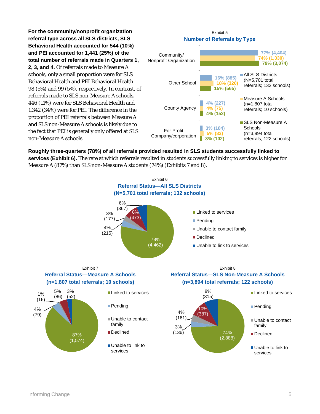**For the community/nonprofit organization referral type across all SLS districts, SLS Behavioral Health accounted for 544 (10%) and PEI accounted for 1,441 (25%) of the total number of referrals made in Quarters 1, 2, 3, and 4.** Of referrals made to Measure A schools, only a small proportion were for SLS Behavioral Health and PEI Behavioral Health— 98 (5%) and 99 (5%), respectively. In contrast, of referrals made to SLS non-Measure A schools, 446 (11%) were for SLS Behavioral Health and 1,342 (34%) were for PEI. The difference in the proportion of PEI referrals between Measure A and SLS non-Measure A schools is likely due to the fact that PEI is generally only offered at SLS non-Measure A schools.



**Roughly three-quarters (78%) of all referrals provided resulted in SLS students successfully linked to services (Exhibit 6).** The rate at which referrals resulted in students successfully linking to services is higher for Measure A (87%) than SLS non-Measure A students (74%) (Exhibits 7 and 8).

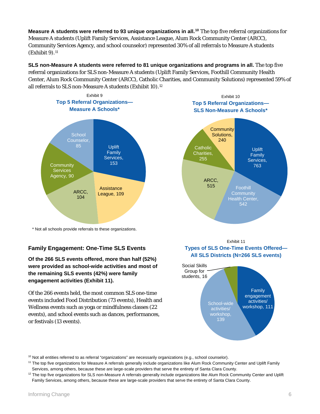**Measure A students were referred to 93 unique organizations in all.[10](#page-7-0)** The top five referral organizations for Measure A students (Uplift Family Services, Assistance League, Alum Rock Community Center (ARCC), Community Services Agency, and school counselor) represented 30% of all referrals to Measure A students (Exhibit 9).[11](#page-7-1)

**SLS non-Measure A students were referred to 81 unique organizations and programs in all.** The top five referral organizations for SLS non-Measure A students (Uplift Family Services, Foothill Community Health Center, Alum Rock Community Center (ARCC), Catholic Charities, and Community Solutions) represented 59% of all referrals to SLS non-Measure A students (Exhibit 10).<sup>[12](#page-7-2)</sup>



\* Not all schools provide referrals to these organizations.

## **Family Engagement: One-Time SLS Events**

**Of the 266 SLS events offered, more than half (52%) were provided as school-wide activities and most of the remaining SLS events (42%) were family engagement activities (Exhibit 11).**

Of the 266 events held, the most common SLS one-time events included Food Distribution (73 events), Health and Wellness events such as yoga or mindfulness classes (22 events), and school events such as dances, performances, or festivals (13 events).





Exhibit 11 **Types of SLS One-Time Events Offered— All SLS Districts (N=266 SLS events)**



<span id="page-7-0"></span><sup>&</sup>lt;sup>10</sup> Not all entities referred to as referral "organizations" are necessarily organizations (e.g., school counselor).

<span id="page-7-1"></span><sup>&</sup>lt;sup>11</sup> The top five organizations for Measure A referrals generally include organizations like Alum Rock Community Center and Uplift Family Services, among others, because these are large-scale providers that serve the entirety of Santa Clara County.

<span id="page-7-2"></span><sup>&</sup>lt;sup>12</sup> The top five organizations for SLS non-Measure A referrals generally include organizations like Alum Rock Community Center and Uplift Family Services, among others, because these are large-scale providers that serve the entirety of Santa Clara County.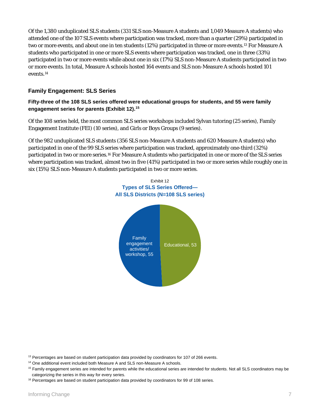Of the 1,380 unduplicated SLS students (331 SLS non-Measure A students and 1,049 Measure A students) who attended one of the 107 SLS events where participation was tracked, more than a quarter (29%) participated in two or more events, and about one in ten students (12%) participated in three or more events.[13](#page-8-0) For Measure A students who participated in one or more SLS events where participation was tracked, one in three (33%) participated in two or more events while about one in six (17%) SLS non-Measure A students participated in two or more events. In total, Measure A schools hosted 164 events and SLS non-Measure A schools hosted 101 events.[14](#page-8-1)

## **Family Engagement: SLS Series**

## **Fifty-three of the 108 SLS series offered were educational groups for students, and 55 were family engagement series for parents (Exhibit 12). [15](#page-8-2)**

Of the 108 series held, the most common SLS series workshops included Sylvan tutoring (25 series), Family Engagement Institute (FEI) (10 series), and Girls or Boys Groups (9 series).

Of the 982 unduplicated SLS students (356 SLS non-Measure A students and 620 Measure A students) who participated in one of the 99 SLS series where participation was tracked, approximately one-third (32%) participated in two or more series.[16](#page-8-3) For Measure A students who participated in one or more of the SLS series where participation was tracked, almost two in five (41%) participated in two or more series while roughly one in six (15%) SLS non-Measure A students participated in two or more series.



<span id="page-8-1"></span><span id="page-8-0"></span><sup>13</sup> Percentages are based on student participation data provided by coordinators for 107 of 266 events.

<sup>14</sup> One additional event included both Measure A and SLS non-Measure A schools.

<span id="page-8-2"></span><sup>&</sup>lt;sup>15</sup> Family engagement series are intended for parents while the educational series are intended for students. Not all SLS coordinators may be categorizing the series in this way for every series.

<span id="page-8-3"></span> $16$  Percentages are based on student participation data provided by coordinators for 99 of 108 series.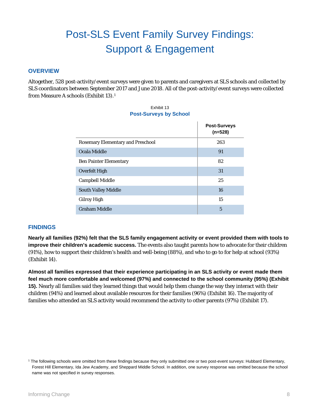## Post-SLS Event Family Survey Findings: Support & Engagement

## **OVERVIEW**

Altogether, 528 post-activity/event surveys were given to parents and caregivers at SLS schools and collected by SLS coordinators between September 2017 and June 2018. All of the post-activity/event surveys were collected from Measure A schools (Exhibit 13).[1](#page-9-0)

| Exhibit 13<br><b>Post-Surveys by School</b> |                                  |
|---------------------------------------------|----------------------------------|
|                                             | <b>Post-Surveys</b><br>$(n=528)$ |
| <b>Rosemary Elementary and Preschool</b>    | 263                              |
| Ocala Middle                                | 91                               |
| <b>Ben Painter Elementary</b>               | 82                               |
| <b>Overfelt High</b>                        | 31                               |
| <b>Campbell Middle</b>                      | 25                               |
| <b>South Valley Middle</b>                  | 16                               |
| <b>Gilroy High</b>                          | 15                               |
| <b>Graham Middle</b>                        | 5                                |

### **FINDINGS**

**Nearly all families (92%) felt that the SLS family engagement activity or event provided them with tools to improve their children's academic success.** The events also taught parents how to advocate for their children (91%), how to support their children's health and well-being (88%), and who to go to for help at school (93%) (Exhibit 14).

**Almost all families expressed that their experience participating in an SLS activity or event made them feel much more comfortable and welcomed (97%) and connected to the school community (95%) (Exhibit 15).** Nearly all families said they learned things that would help them change the way they interact with their children (94%) and learned about available resources for their families (96%) (Exhibit 16). The majority of families who attended an SLS activity would recommend the activity to other parents (97%) (Exhibit 17).

<span id="page-9-0"></span><sup>1</sup> The following schools were omitted from these findings because they only submitted one or two post-event surveys: Hubbard Elementary, Forest Hill Elementary, Ida Jew Academy, and Sheppard Middle School. In addition, one survey response was omitted because the school name was not specified in survey responses.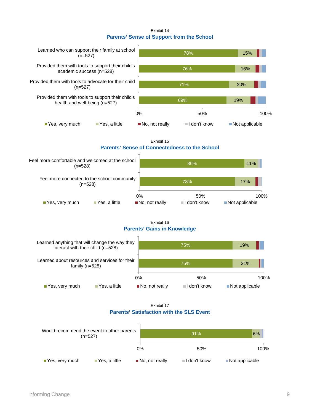#### Exhibit 14 **Parents' Sense of Support from the School**



Exhibit 15

### **Parents' Sense of Connectedness to the School**



#### Exhibit 16 **Parents' Gains in Knowledge**



Exhibit 17 **Parents' Satisfaction with the SLS Event**

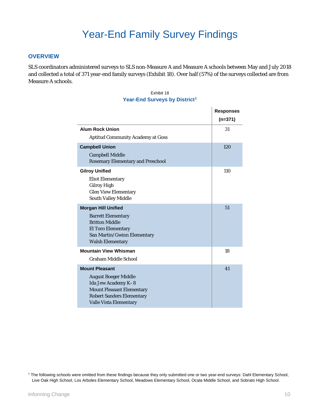### **OVERVIEW**

SLS coordinators administered surveys to SLS non-Measure A and Measure A schools between May and July 2018 and collected a total of 371 year-end family surveys (Exhibit 18). Over half (57%) of the surveys collected are from Measure A schools.

| Exhibit 18                                |  |  |  |
|-------------------------------------------|--|--|--|
| Year-End Surveys by District <sup>1</sup> |  |  |  |

|                                                                                                                                                                               | <b>Responses</b><br>$(n=371)$ |
|-------------------------------------------------------------------------------------------------------------------------------------------------------------------------------|-------------------------------|
| <b>Alum Rock Union</b><br><b>Aptitud Community Academy at Goss</b>                                                                                                            | 31                            |
| <b>Campbell Union</b><br><b>Campbell Middle</b><br><b>Rosemary Elementary and Preschool</b>                                                                                   | 120                           |
| <b>Gilroy Unified</b><br><b>Eliot Elementary</b><br><b>Gilroy High</b><br><b>Glen View Elementary</b><br><b>South Valley Middle</b>                                           | 110                           |
| <b>Morgan Hill Unified</b><br><b>Barrett Elementary</b><br><b>Britton Middle</b><br><b>El Toro Elementary</b><br>San Martin/Gwinn Elementary<br><b>Walsh Elementary</b>       | 51                            |
| <b>Mountain View Whisman</b><br><b>Graham Middle School</b>                                                                                                                   | 18                            |
| <b>Mount Pleasant</b><br><b>August Boeger Middle</b><br>Ida Jew Academy K-8<br><b>Mount Pleasant Elementary</b><br><b>Robert Sanders Elementary</b><br>Valle Vista Elementary | 41                            |

<span id="page-11-0"></span><sup>1</sup> The following schools were omitted from these findings because they only submitted one or two year-end surveys: Dahl Elementary School, Live Oak High School, Los Arboles Elementary School, Meadows Elementary School, Ocala Middle School, and Sobrato High School.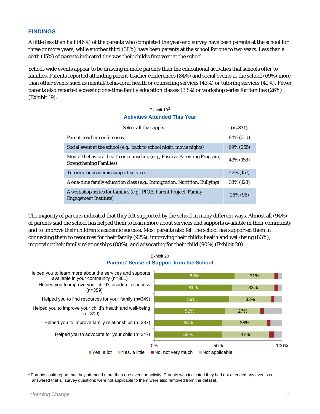### **FINDINGS**

A little less than half (46%) of the parents who completed the year-end survey have been parents at the school for three or more years, while another third (38%) have been parents at the school for one to two years. Less than a sixth (15%) of parents indicated this was their child's first year at the school.

School-wide events appear to be drawing in more parents than the educational activities that schools offer to families. Parents reported attending parent-teacher conferences (84%) and social events at the school (69%) more than other events such as mental/behavioral health or counseling services (43%) or tutoring services (42%). Fewer parents also reported accessing one-time family education classes (33%) or workshop series for families (26%) (Exhibit 19).

### Exhibit 19[2](#page-12-0) **Activities Attended This Year**

| Select all that apply                                                                                        | $(n=371)$  |
|--------------------------------------------------------------------------------------------------------------|------------|
| Parent-teacher conferences                                                                                   | 84% (310)  |
| Social event at the school (e.g., back to school night, movie nights)                                        | 69% (255)  |
| Mental/behavioral health or counseling (e.g., Positive Parenting Program,<br><b>Strengthening Families</b> ) | 43% (158)  |
| Tutoring or academic support services                                                                        | 42\% (157) |
| A one-time family education class (e.g., Immigration, Nutrition, Bullying)                                   | 33% (123)  |
| A workshop series for families (e.g., PIQE, Parent Project, Family<br><b>Engagement Institute</b> )          | 26% (96)   |

The majority of parents indicated that they felt supported by the school in many different ways. Almost all (94%) of parents said the school has helped them to learn more about services and supports available in their community and to improve their children's academic success. Most parents also felt the school has supported them in connecting them to resources for their family (92%), improving their child's health and well-being (83%), improving their family relationships (88%), and advocating for their child (90%) (Exhibit 20).



<span id="page-12-0"></span><sup>2</sup> Parents could report that they attended more than one event or activity. Parents who indicated they had not attended any events or answered that all survey questions were not applicable to them were also removed from the dataset.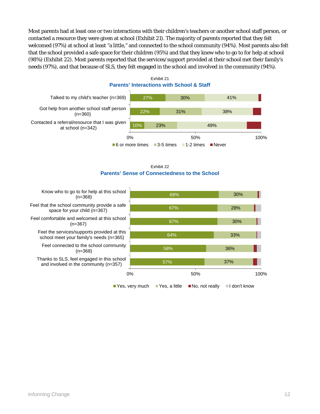Most parents had at least one or two interactions with their children's teachers or another school staff person, or contacted a resource they were given at school (Exhibit 21). The majority of parents reported that they felt welcomed (97%) at school at least "a little," and connected to the school community (94%). Most parents also felt that the school provided a safe space for their children (95%) and that they knew who to go to for help at school (98%) (Exhibit 22). Most parents reported that the services/support provided at their school met their family's needs (97%), and that because of SLS, they felt engaged in the school and involved in the community (94%).



Exhibit 21 **Parents' Interactions with School & Staff**



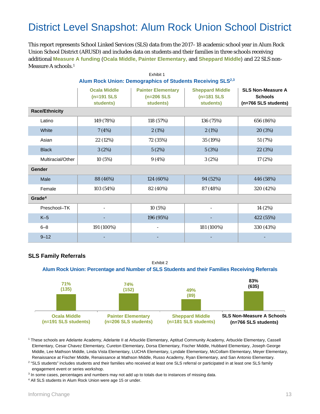## District Level Snapshot: Alum Rock Union School District

This report represents School Linked Services (SLS) data from the 2017–18 academic school year in Alum Rock Union School District (ARUSD) and includes data on students and their families in three schools receiving additional **Measure A funding** (**Ocala Middle, Painter Elementary,** and **Sheppard Middle**) and 22 SLS non-Measure A schools.<sup>[1](#page-14-0)</sup>

| Alum Rock Union: Demographics of Students Receiving SLS <sup>2,3</sup> |                                                  |                                                        |                                                     |                                                                    |
|------------------------------------------------------------------------|--------------------------------------------------|--------------------------------------------------------|-----------------------------------------------------|--------------------------------------------------------------------|
|                                                                        | <b>Ocala Middle</b><br>$(n=191$ SLS<br>students) | <b>Painter Elementary</b><br>$(n=206$ SLS<br>students) | <b>Sheppard Middle</b><br>$(n=181$ SLS<br>students) | <b>SLS Non-Measure A</b><br><b>Schools</b><br>(n=766 SLS students) |
| <b>Race/Ethnicity</b>                                                  |                                                  |                                                        |                                                     |                                                                    |
| Latino                                                                 | 149 (78%)                                        | 118 (57%)                                              | 136 (75%)                                           | 656 (86%)                                                          |
| White                                                                  | 7(4%)                                            | 2(1%)                                                  | 2(1%)                                               | 20 (3%)                                                            |
| Asian                                                                  | 22 (12%)                                         | 72 (35%)                                               | 35 (19%)                                            | 51 (7%)                                                            |
| <b>Black</b>                                                           | 3(2%)                                            | 5(2%)                                                  | 5(3%)                                               | 22 (3%)                                                            |
| Multiracial/Other                                                      | 10 (5%)                                          | 9(4%)                                                  | 3(2%)                                               | 17 (2%)                                                            |
| Gender                                                                 |                                                  |                                                        |                                                     |                                                                    |
| Male                                                                   | 88 (46%)                                         | 124 (60%)                                              | 94 (52%)                                            | 446 (58%)                                                          |
| Female                                                                 | 103 (54%)                                        | 82 (40%)                                               | 87 (48%)                                            | 320 (42%)                                                          |
| Grade <sup>4</sup>                                                     |                                                  |                                                        |                                                     |                                                                    |
| Preschool-TK                                                           |                                                  | 10 (5%)                                                |                                                     | 14 (2%)                                                            |
| $K-5$                                                                  |                                                  | 196 (95%)                                              |                                                     | 422 (55%)                                                          |
| $6 - 8$                                                                | 191 (100%)                                       | $\overline{a}$                                         | 181 (100%)                                          | 330 (43%)                                                          |
| $9 - 12$                                                               |                                                  |                                                        |                                                     |                                                                    |

# Exhibit 1

## **SLS Family Referrals**



<span id="page-14-0"></span><sup>1</sup> These schools are Adelante Academy, Adelante II at Arbuckle Elementary, Aptitud Community Academy, Arbuckle Elementary, Cassell Elementary, Cesar Chavez Elementary, Cureton Elementary, Dorsa Elementary, Fischer Middle, Hubbard Elementary, Joseph George Middle, Lee Mathson Middle, Linda Vista Elementary, LUCHA Elementary, Lyndale Elementary, McCollam Elementary, Meyer Elementary, Renaissance at Fischer Middle, Renaissance at Mathson Middle, Russo Academy, Ryan Elementary, and San Antonio Elementary.

<span id="page-14-1"></span><sup>2</sup> "SLS students" includes students and their families who received at least one SLS referral or participated in at least one SLS family engagement event or series workshop.

<span id="page-14-2"></span><sup>3</sup> In some cases, percentages and numbers may not add up to totals due to instances of missing data.

<span id="page-14-3"></span><sup>4</sup> All SLS students in Alum Rock Union were age 15 or under.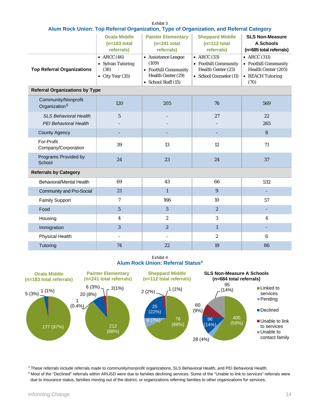|                                                              |                                                                              |                                                                                                   | Alum Rock Union: Top Referral Organization, Type of Organization, and Referral Category      |                                                                                                 |
|--------------------------------------------------------------|------------------------------------------------------------------------------|---------------------------------------------------------------------------------------------------|----------------------------------------------------------------------------------------------|-------------------------------------------------------------------------------------------------|
|                                                              | <b>Ocala Middle</b><br>$(n=183 \text{ total})$<br>referrals)                 | <b>Painter Elementary</b><br>$(n=241$ total<br>referrals)                                         | <b>Sheppard Middle</b><br>$(n=112 \text{ total})$<br>referrals)                              | <b>SLS Non-Measure</b><br>A Schools<br>(n=685 total referrals)                                  |
| <b>Top Referral Organizations</b>                            | $\bullet$ ARCC (46)<br>• Sylvan Tutoring<br>(38)<br>$\bullet$ City Year (35) | • Assistance League<br>(109)<br>• Foothill Community<br>Health Center (29)<br>• School Staff (15) | $\bullet$ ARCC (33)<br>• Foothill Community<br>Health Center (23)<br>• School Counselor (11) | $\bullet$ ARCC (311)<br>• Foothill Community<br>Health Center (205)<br>• REACH Tutoring<br>(70) |
| <b>Referral Organizations by Type</b>                        |                                                                              |                                                                                                   |                                                                                              |                                                                                                 |
| Community/Nonprofit<br>Organization <sup>5</sup>             | 120                                                                          | 205                                                                                               | 76                                                                                           | 569                                                                                             |
| <b>SLS Behavioral Health</b><br><b>PEI Behavioral Health</b> | $\mathfrak{H}$                                                               |                                                                                                   | 27                                                                                           | 22<br>265                                                                                       |
| <b>County Agency</b>                                         |                                                                              |                                                                                                   |                                                                                              | 8                                                                                               |
| For-Profit<br>Company/Corporation                            | 39                                                                           | 13                                                                                                | 12                                                                                           | 71                                                                                              |
| Programs Provided by<br>School                               | 24                                                                           | 23                                                                                                | 24                                                                                           | 37                                                                                              |
| <b>Referrals by Category</b>                                 |                                                                              |                                                                                                   |                                                                                              |                                                                                                 |
| Behavioral/Mental Health                                     | 69                                                                           | 43                                                                                                | 66                                                                                           | 532                                                                                             |
| Community and Pro-Social                                     | 21                                                                           | $\mathbf{1}$                                                                                      | 9                                                                                            |                                                                                                 |
| <b>Family Support</b>                                        | 7                                                                            | 166                                                                                               | 10                                                                                           | 57                                                                                              |
| Food                                                         | $5\phantom{.0}$                                                              | $5\overline{)}$                                                                                   | 2                                                                                            |                                                                                                 |
| Housing                                                      | $\overline{\mathbf{4}}$                                                      | $\boldsymbol{2}$                                                                                  | 3                                                                                            | $\overline{\mathbf{4}}$                                                                         |
| Immigration                                                  | 3                                                                            | $\overline{2}$                                                                                    | $\mathbf{1}$                                                                                 |                                                                                                 |
| Physical Health                                              |                                                                              | $\overline{\phantom{a}}$                                                                          | $\boldsymbol{2}$                                                                             | $6\phantom{1}$                                                                                  |
| Tutoring                                                     | 74                                                                           | 22                                                                                                | 19                                                                                           | 86                                                                                              |

Exhibit 3 **Alum Rock Union: Top Referral Organization, Type of Organization, and Referral Category**

Exhibit 4 **Alum Rock Union: Referral Status[6](#page-15-0)**



<span id="page-15-1"></span><sup>5</sup> These referrals include referrals made to community/nonprofit organizations, SLS Behavioral Health, and PEI Behavioral Health.

<span id="page-15-0"></span><sup>6</sup> Most of the "Declined" referrals within ARUSD were due to families declining services. Some of the "Unable to link to services" referrals were due to insurance status, families moving out of the district, or organizations referring families to other organizations for services.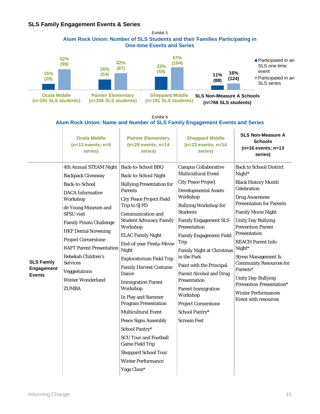## **SLS Family Engagement Events & Series**



Exhibit 6

#### **Alum Rock Union: Name and Number of SLS Family Engagement Events and Series**

|                                                  | <b>Ocala Middle</b><br>$(n=13$ events; $n=5$<br>series)                                                                                                                                                                                                                                                                                                                                                | <b>Painter Elementary</b><br>$(n=29$ events; $n=14$<br>series)                                                                                                                                                                                                                                                                                                                                                                                                                                                                                                                                                                                                                                | <b>Sheppard Middle</b><br>$(n=23$ events; $n=14$<br>series)                                                                                                                                                                                                                                                                                                                                                                                                                                                                                  | <b>SLS Non-Measure A</b><br><b>Schools</b><br>$(n=16$ events; $n=13$<br>series)                                                                                                                                                                                                                                                                                                                                                                                                                     |
|--------------------------------------------------|--------------------------------------------------------------------------------------------------------------------------------------------------------------------------------------------------------------------------------------------------------------------------------------------------------------------------------------------------------------------------------------------------------|-----------------------------------------------------------------------------------------------------------------------------------------------------------------------------------------------------------------------------------------------------------------------------------------------------------------------------------------------------------------------------------------------------------------------------------------------------------------------------------------------------------------------------------------------------------------------------------------------------------------------------------------------------------------------------------------------|----------------------------------------------------------------------------------------------------------------------------------------------------------------------------------------------------------------------------------------------------------------------------------------------------------------------------------------------------------------------------------------------------------------------------------------------------------------------------------------------------------------------------------------------|-----------------------------------------------------------------------------------------------------------------------------------------------------------------------------------------------------------------------------------------------------------------------------------------------------------------------------------------------------------------------------------------------------------------------------------------------------------------------------------------------------|
| <b>SLS Family</b><br>Engagement<br><b>Events</b> | 4th Annual STEAM Night<br><b>Backpack Giveaway</b><br><b>Back-to-School</b><br><b>DACA</b> Informative<br>Workshop<br>de Young Museum and<br><b>SFSU</b> visit<br><b>Family Pinata Challenge</b><br><b>HKF Dental Screening</b><br><b>Project Cornerstone</b><br><b>RAFT Parent Presentation</b><br>Rebekah Children's<br><b>Services</b><br>Veggielutions<br><b>Winter Wonderland</b><br><b>ZUMBA</b> | Back-to-School BBQ<br><b>Back-to-School Night</b><br><b>Bullying Presentation for</b><br><b>Parents</b><br><b>City Peace Project Field</b><br>Trip to SJPD<br>Communication and<br><b>Student Advocacy Family</b><br>Workshop<br><b>ELAC Family Night</b><br>End-of-year Fiesta-Movie<br>Night<br><b>Exploratorium Field Trip</b><br><b>Family Harvest Costume</b><br>Dance<br><b>Immigration Parent</b><br>Workshop<br>In Play and Summer<br><b>Program Presentation</b><br><b>Multicultural Event</b><br><b>Peace Signs Assembly</b><br>School Pantry*<br><b>SCU Tour and Football</b><br><b>Game Field Trip</b><br><b>Sheppard School Tour</b><br><b>Winter Performance</b><br>Yoga Class* | <b>Campus Collaborative</b><br><b>Multicultural Event</b><br><b>City Peace Project</b><br><b>Developmental Assets</b><br>Workshop<br><b>Bullying Workshop for</b><br><b>Students</b><br><b>Family Engagement SLS</b><br><b>Presentation</b><br><b>Family Engagement Field</b><br>Trip<br><b>Family Night at Christmas</b><br>in the Park<br>Paint with the Principal<br><b>Parent Alcohol and Drug</b><br>Presentation<br><b>Parent Immigration</b><br>Workshop<br><b>Project Cornerstone</b><br><b>School Pantry*</b><br><b>Scream Fest</b> | <b>Back to School/District</b><br>Night*<br><b>Black History Month</b><br>Celebration<br><b>Drug Awareness</b><br><b>Presentation for Parents</b><br><b>Family Movie Night</b><br><b>Unity Day Bullying</b><br><b>Prevention Parent</b><br>Presentation<br><b>REACH Parent Info</b><br>Night*<br><b>Stress Management &amp;</b><br><b>Community Resources for</b><br>Parents*<br><b>Unity Day-Bullying</b><br><b>Prevention Presentation*</b><br><b>Winter Performances</b><br>Event with resources |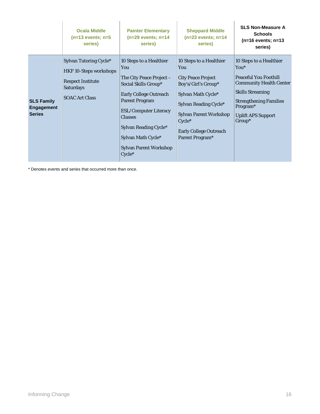|                                                         | <b>Ocala Middle</b><br>$(n=13$ events; $n=5$<br>series)                                                                          | <b>Painter Elementary</b><br>$(n=29$ events; $n=14$<br>series)                                                                                                                                                                                                                                | <b>Sheppard Middle</b><br>$(n=23$ events; $n=14$<br>series)                                                                                                                                                                        | <b>SLS Non-Measure A</b><br><b>Schools</b><br>$(n=16$ events; $n=13$<br>series)                                                                                                                                       |
|---------------------------------------------------------|----------------------------------------------------------------------------------------------------------------------------------|-----------------------------------------------------------------------------------------------------------------------------------------------------------------------------------------------------------------------------------------------------------------------------------------------|------------------------------------------------------------------------------------------------------------------------------------------------------------------------------------------------------------------------------------|-----------------------------------------------------------------------------------------------------------------------------------------------------------------------------------------------------------------------|
| <b>SLS Family</b><br><b>Engagement</b><br><b>Series</b> | Sylvan Tutoring Cycle*<br><b>HKF 10-Steps workshops</b><br><b>Respect Institute</b><br><b>Saturdays</b><br><b>SOAC Art Class</b> | 10 Steps to a Healthier<br>You<br>The City Peace Project $-$<br>Social Skills Group*<br><b>Early College Outreach</b><br><b>Parent Program</b><br><b>ESL/Computer Literacy</b><br><b>Classes</b><br>Sylvan Reading Cycle*<br>Sylvan Math Cycle*<br><b>Sylvan Parent Workshop</b><br>$Cycle^*$ | 10 Steps to a Healthier<br>You<br><b>City Peace Project</b><br>Boy's/Girl's Group*<br>Sylvan Math Cycle*<br>Sylvan Reading Cycle*<br><b>Sylvan Parent Workshop</b><br>$Cycle*$<br><b>Early College Outreach</b><br>Parent Program* | 10 Steps to a Healthier<br>$You*$<br><b>Peaceful You Foothill</b><br><b>Community Health Center</b><br><b>Skills Streaming</b><br><b>Strengthening Families</b><br>Program*<br><b>Uplift APS Support</b><br>$Group^*$ |

\* Denotes events and series that occurred more than once.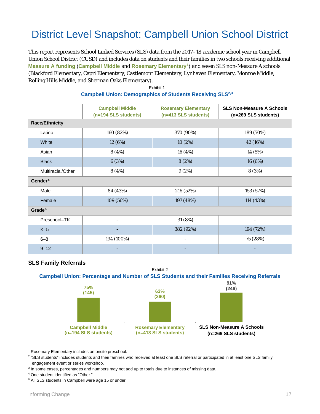## District Level Snapshot: Campbell Union School District

This report represents School Linked Services (SLS) data from the 2017–18 academic school year in Campbell Union School District (CUSD) and includes data on students and their families in two schools receiving additional **Measure A funding** (**Campbell Middle** and **Rosemary Elementary[1](#page-18-0)**) and seven SLS non-Measure A schools (Blackford Elementary, Capri Elementary, Castlemont Elementary, Lynhaven Elementary, Monroe Middle, Rolling Hills Middle, and Sherman Oaks Elementary). [2](#page-18-1)

|                       | <b>Campbell Middle</b><br>(n=194 SLS students) | <b>Rosemary Elementary</b><br>(n=413 SLS students) | <b>SLS Non-Measure A Schools</b><br>(n=269 SLS students) |  |  |  |
|-----------------------|------------------------------------------------|----------------------------------------------------|----------------------------------------------------------|--|--|--|
| <b>Race/Ethnicity</b> |                                                |                                                    |                                                          |  |  |  |
| Latino                | 160 (82%)                                      | 370 (90%)                                          | 189 (70%)                                                |  |  |  |
| White                 | 12 (6%)                                        | 10(2%)                                             | 42 (16%)                                                 |  |  |  |
| Asian                 | 8 (4%)                                         | 16 (4%)                                            | 14 (5%)                                                  |  |  |  |
| <b>Black</b>          | 6(3%)                                          | 8(2%)                                              | 16 (6%)                                                  |  |  |  |
| Multiracial/Other     | 8 (4%)                                         | 9(2%)                                              | 8 (3%)                                                   |  |  |  |
| Gender <sup>4</sup>   |                                                |                                                    |                                                          |  |  |  |
| Male                  | 84 (43%)                                       | 216 (52%)                                          | 153 (57%)                                                |  |  |  |
| Female                | 109 (56%)                                      | 197 (48%)                                          | 114 (43%)                                                |  |  |  |
| Grade <sup>5</sup>    |                                                |                                                    |                                                          |  |  |  |
| Preschool-TK          |                                                | 31 (8%)                                            | $\overline{\phantom{0}}$                                 |  |  |  |
| $K-5$                 |                                                | 382 (92%)                                          | 194 (72%)                                                |  |  |  |
| $6 - 8$               | 194 (100%)                                     | $\overline{\phantom{a}}$                           | 75 (28%)                                                 |  |  |  |
| $9 - 12$              |                                                |                                                    |                                                          |  |  |  |

### **[3](#page-18-2) Campbell Union: Demographics of Students Receiving SLS2,3** Exhibit 1

### **SLS Family Referrals**



<span id="page-18-0"></span><sup>1</sup> Rosemary Elementary includes an onsite preschool.

<span id="page-18-1"></span><sup>2</sup> "SLS students" includes students and their families who received at least one SLS referral or participated in at least one SLS family engagement event or series workshop.

<span id="page-18-2"></span><sup>3</sup> In some cases, percentages and numbers may not add up to totals due to instances of missing data.

<span id="page-18-3"></span><sup>4</sup> One student identified as "Other."

<span id="page-18-4"></span><sup>5</sup> All SLS students in Campbell were age 15 or under.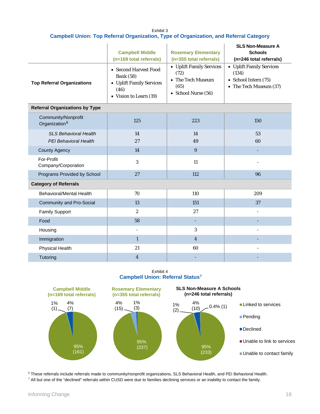| <b>Fxhibit 3</b>                                                                              |  |  |  |  |
|-----------------------------------------------------------------------------------------------|--|--|--|--|
| <b>Campbell Union: Top Referral Organization, Type of Organization, and Referral Category</b> |  |  |  |  |

| <b>Top Referral Organizations</b>                            | <b>Campbell Middle</b><br>(n=169 total referrals)<br>• Second Harvest Food<br><b>Bank</b> (58)<br>• Uplift Family Services<br>(46)<br>• Vision to Learn (19) | <b>Rosemary Elementary</b><br>(n=355 total referrals)<br>• Uplift Family Services<br>(72)<br>• The Tech Museum<br>(65)<br>• School Nurse (56) | <b>SLS Non-Measure A</b><br><b>Schools</b><br>(n=246 total referrals)<br>• Uplift Family Services<br>(134)<br>• School Intern (75)<br>• The Tech Museum (37) |
|--------------------------------------------------------------|--------------------------------------------------------------------------------------------------------------------------------------------------------------|-----------------------------------------------------------------------------------------------------------------------------------------------|--------------------------------------------------------------------------------------------------------------------------------------------------------------|
| <b>Referral Organizations by Type</b>                        |                                                                                                                                                              |                                                                                                                                               |                                                                                                                                                              |
| Community/Nonprofit<br>Organization <sup>6</sup>             | 125                                                                                                                                                          | 223                                                                                                                                           | 150                                                                                                                                                          |
| <b>SLS Behavioral Health</b><br><b>PEI Behavioral Health</b> | 14<br>27                                                                                                                                                     | 14<br>49                                                                                                                                      | 53<br>60                                                                                                                                                     |
| <b>County Agency</b>                                         | 14                                                                                                                                                           | 9                                                                                                                                             |                                                                                                                                                              |
| For-Profit<br>Company/Corporation                            | 3                                                                                                                                                            | 11                                                                                                                                            |                                                                                                                                                              |
| Programs Provided by School                                  | 27                                                                                                                                                           | 112                                                                                                                                           | 96                                                                                                                                                           |
| <b>Category of Referrals</b>                                 |                                                                                                                                                              |                                                                                                                                               |                                                                                                                                                              |
| Behavioral/Mental Health                                     | 70                                                                                                                                                           | 110                                                                                                                                           | 209                                                                                                                                                          |
| Community and Pro-Social                                     | 13                                                                                                                                                           | 151                                                                                                                                           | 37                                                                                                                                                           |
| <b>Family Support</b>                                        | $\boldsymbol{2}$                                                                                                                                             | 27                                                                                                                                            | $\blacksquare$                                                                                                                                               |
| Food                                                         | 58                                                                                                                                                           |                                                                                                                                               |                                                                                                                                                              |
| Housing                                                      | $\bar{a}$                                                                                                                                                    | 3                                                                                                                                             | $\overline{\phantom{a}}$                                                                                                                                     |
| Immigration                                                  | $\mathbf{1}$                                                                                                                                                 | $\overline{4}$                                                                                                                                |                                                                                                                                                              |
| Physical Health                                              | 21                                                                                                                                                           | 60                                                                                                                                            | L.                                                                                                                                                           |
| Tutoring                                                     | $\overline{\mathbf{4}}$                                                                                                                                      |                                                                                                                                               |                                                                                                                                                              |

Exhibit 4 **Campbell Union: Referral Status[7](#page-19-0)**



<span id="page-19-1"></span><span id="page-19-0"></span><sup>6</sup> These referrals include referrals made to community/nonprofit organizations, SLS Behavioral Health, and PEI Behavioral Health. <sup>7</sup> All but one of the "declined" referrals within CUSD were due to families declining services or an inability to contact the family.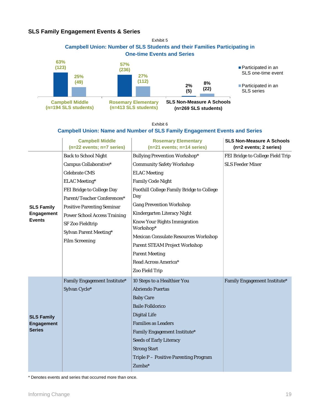### **SLS Family Engagement Events & Series**



Exhibit 6

#### **Campbell Union: Name and Number of SLS Family Engagement Events and Series**

|                   | <b>Campbell Middle</b><br>$(n=22$ events; $n=7$ series) | <b>Rosemary Elementary</b><br>$(n=21$ events; $n=14$ series) | <b>SLS Non-Measure A Schools</b><br>(n=2 events; 2 series) |
|-------------------|---------------------------------------------------------|--------------------------------------------------------------|------------------------------------------------------------|
|                   | <b>Back to School Night</b>                             | <b>Bullying Prevention Workshop*</b>                         | FEI Bridge to College Field Trip                           |
|                   | Campus Collaborative*                                   | <b>Community Safety Workshop</b>                             | <b>SLS Feeder Mixer</b>                                    |
|                   | <b>Celebrate CMS</b>                                    | <b>ELAC</b> Meeting                                          |                                                            |
|                   | <b>ELAC</b> Meeting*                                    | <b>Family Code Night</b>                                     |                                                            |
|                   | FEI Bridge to College Day                               | <b>Foothill College Family Bridge to College</b>             |                                                            |
|                   | Parent/Teacher Conferences*                             | Day                                                          |                                                            |
| <b>SLS Family</b> | <b>Positive Parenting Seminar</b>                       | <b>Gang Prevention Workshop</b>                              |                                                            |
| <b>Engagement</b> | <b>Power School Access Training</b>                     | Kindergarten Literacy Night                                  |                                                            |
| <b>Events</b>     | <b>SF Zoo Fieldtrip</b>                                 | Know Your Rights Immigration<br>Workshop*                    |                                                            |
|                   | Sylvan Parent Meeting*                                  | <b>Mexican Consulate Resources Workshop</b>                  |                                                            |
|                   | <b>Film Screening</b>                                   | <b>Parent STEAM Project Workshop</b>                         |                                                            |
|                   |                                                         | <b>Parent Meeting</b>                                        |                                                            |
|                   |                                                         | Read Across America*                                         |                                                            |
|                   |                                                         | Zoo Field Trip                                               |                                                            |
|                   | Family Engagement Institute*                            | 10 Steps to a Healthier You                                  | Family Engagement Institute*                               |
|                   | Sylvan Cycle*                                           | <b>Abriendo Puertas</b>                                      |                                                            |
|                   |                                                         | <b>Baby Care</b>                                             |                                                            |
|                   |                                                         | <b>Baile Folklorico</b>                                      |                                                            |
| <b>SLS Family</b> |                                                         | <b>Digital Life</b>                                          |                                                            |
| <b>Engagement</b> |                                                         | <b>Families as Leaders</b>                                   |                                                            |
| <b>Series</b>     |                                                         | Family Engagement Institute*                                 |                                                            |
|                   |                                                         | <b>Seeds of Early Literacy</b>                               |                                                            |
|                   |                                                         | <b>Strong Start</b>                                          |                                                            |
|                   |                                                         | Triple P - Positive Parenting Program                        |                                                            |
|                   |                                                         | Zumba*                                                       |                                                            |

\* Denotes events and series that occurred more than once.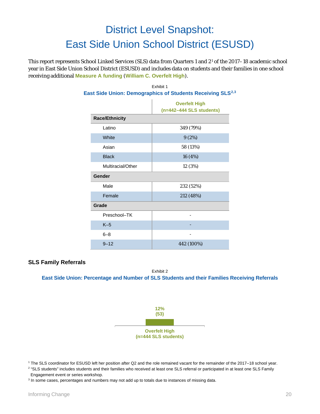## District Level Snapshot: East Side Union School District (ESUSD)

This report represents School Linked Services (SLS) data from Quarters 1 and 2[1](#page-21-0) of the 2017–18 academic school year in East Side Union School District (ESUSD) and includes data on students and their families in one school receiving additional **Measure A funding** (**William C. Overfelt High**).

| ast Side Union: Demographics of Students Receiving SLS |                                                    |  |  |
|--------------------------------------------------------|----------------------------------------------------|--|--|
|                                                        | <b>Overfelt High</b><br>$(n=442-444$ SLS students) |  |  |
| <b>Race/Ethnicity</b>                                  |                                                    |  |  |
| Latino                                                 | 349 (79%)                                          |  |  |
| White                                                  | 9(2%)                                              |  |  |
| Asian                                                  | 58 (13%)                                           |  |  |
| <b>Black</b>                                           | 16 (4%)                                            |  |  |
| Multiracial/Other                                      | 12 (3%)                                            |  |  |
| Gender                                                 |                                                    |  |  |
| Male                                                   | 232 (52%)                                          |  |  |
| Female                                                 | 212 (48%)                                          |  |  |
| Grade                                                  |                                                    |  |  |
| Preschool-TK                                           |                                                    |  |  |
| $K-5$                                                  |                                                    |  |  |
| $6 - 8$                                                |                                                    |  |  |
| $9 - 12$                                               | 442 (100%)                                         |  |  |

## Exhibit 1 **East Side Union: Demographics of Students Receiving SLS[2,](#page-21-1)[3](#page-21-2)**

## **SLS Family Referrals**

Exhibit 2 **East Side Union: Percentage and Number of SLS Students and their Families Receiving Referrals**



<span id="page-21-0"></span><sup>1</sup> The SLS coordinator for ESUSD left her position after Q2 and the role remained vacant for the remainder of the 2017–18 school year.

<span id="page-21-1"></span><sup>2</sup> "SLS students" includes students and their families who received at least one SLS referral or participated in at least one SLS Family Engagement event or series workshop.

<span id="page-21-2"></span><sup>3</sup> In some cases, percentages and numbers may not add up to totals due to instances of missing data.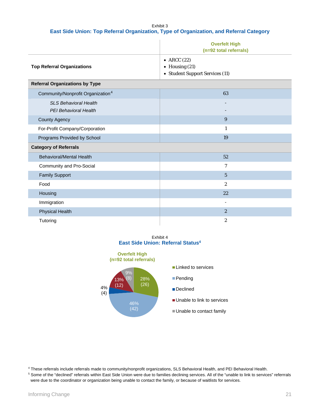Exhibit 3 **East Side Union: Top Referral Organization, Type of Organization, and Referral Category**

|                                                       | <b>Overfelt High</b><br>(n=92 total referrals)                             |
|-------------------------------------------------------|----------------------------------------------------------------------------|
| <b>Top Referral Organizations</b>                     | • ARCC $(22)$<br>$\bullet$ Housing (21)<br>• Student Support Services (11) |
| <b>Referral Organizations by Type</b>                 |                                                                            |
| Community/Nonprofit Organization <sup>4</sup>         | 63                                                                         |
| <b>SLS Behavioral Health</b><br>PEI Behavioral Health |                                                                            |
| County Agency                                         | 9                                                                          |
| For-Profit Company/Corporation                        | $\mathbf{1}$                                                               |
| Programs Provided by School                           | 19                                                                         |
| <b>Category of Referrals</b>                          |                                                                            |
| <b>Behavioral/Mental Health</b>                       | 52                                                                         |
| Community and Pro-Social                              | 7                                                                          |
| <b>Family Support</b>                                 | $\overline{5}$                                                             |
| Food                                                  | $\overline{c}$                                                             |
| Housing                                               | 22                                                                         |
| Immigration                                           | $\overline{\phantom{a}}$                                                   |
| <b>Physical Health</b>                                | $\overline{2}$                                                             |
| Tutoring                                              | $\overline{2}$                                                             |

Exhibit 4 **East Side Union: Referral Status4**



<span id="page-22-0"></span><sup>4</sup> These referrals include referrals made to community/nonprofit organizations, SLS Behavioral Health, and PEI Behavioral Health.

<span id="page-22-1"></span><sup>5</sup> Some of the "declined" referrals within East Side Union were due to families declining services. All of the "unable to link to services" referrrals were due to the coordinator or organization being unable to contact the family, or because of waitlists for services.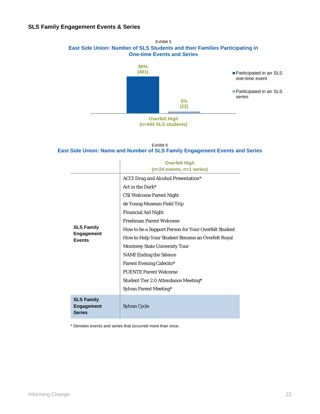

**Overfelt High (n=444 SLS students)**

#### Exhibit 6 **East Side Union: Name and Number of SLS Family Engagement Events and Series**

|                                                  | <b>Overfelt High</b><br>$(n=24$ events; $n=1$ series)                                             |  |
|--------------------------------------------------|---------------------------------------------------------------------------------------------------|--|
|                                                  | <b>ACCI Drug and Alcohol Presentation*</b><br>Art in the Dark*<br><b>CSI Welcome Parent Night</b> |  |
|                                                  | de Young Museum Field Trip                                                                        |  |
|                                                  | <b>Financial Aid Night</b><br><b>Freshman Parent Welcome</b>                                      |  |
| <b>SLS Family</b><br>Engagement                  | How to be a Support Person for Your Overfelt Student                                              |  |
| <b>Events</b>                                    | How to Help Your Student Become an Overfelt Royal<br><b>Monterey State University Tour</b>        |  |
|                                                  | <b>NAMI</b> Ending the Silence                                                                    |  |
|                                                  | Parent Evening Cafecito*<br><b>PUENTE Parent Welcome</b>                                          |  |
|                                                  | <b>Student Tier 2.0 Attendance Meeting*</b>                                                       |  |
|                                                  | Sylvan Parent Meeting*                                                                            |  |
| <b>SLS Family</b><br>Engagement<br><b>Series</b> | Sylvan Cycle                                                                                      |  |

\* Denotes events and series that occurred more than once.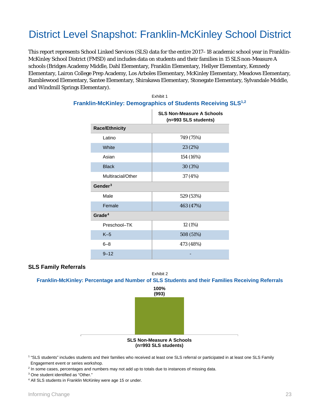## District Level Snapshot: Franklin-McKinley School District

This report represents School Linked Services (SLS) data for the entire 2017–18 academic school year in Franklin-McKinley School District (FMSD) and includes data on students and their families in 15 SLS non-Measure A schools (Bridges Academy Middle, Dahl Elementary, Franklin Elementary, Hellyer Elementary, Kennedy Elementary, Lairon College Prep Academy, Los Arboles Elementary, McKinley Elementary, Meadows Elementary, Ramblewood Elementary, Santee Elementary, Shirakawa Elementary, Stonegate Elementary, Sylvandale Middle, and Windmill Springs Elementary).

|                       | <b>SLS Non-Measure A Schools</b><br>(n=993 SLS students) |
|-----------------------|----------------------------------------------------------|
| <b>Race/Ethnicity</b> |                                                          |
| Latino                | 749 (75%)                                                |
| <b>White</b>          | 23 (2%)                                                  |
| Asian                 | 154 (16%)                                                |
| <b>Black</b>          | 30(3%)                                                   |
| Multiracial/Other     | 37 (4%)                                                  |
| Gender <sup>3</sup>   |                                                          |
| Male                  | 529 (53%)                                                |
| Female                | 463 (47%)                                                |
| Grade <sup>4</sup>    |                                                          |
| Preschool-TK          | 12 (1%)                                                  |
| $K-5$                 | 508 (51%)                                                |
| $6 - 8$               | 473 (48%)                                                |
| $9 - 12$              |                                                          |

#### Exhibit 1 **Franklin-McKinley: Demographics of Students Receiving SLS1,2**

#### **SLS Family Referrals**





<span id="page-24-0"></span><sup>1</sup> "SLS students" includes students and their families who received at least one SLS referral or participated in at least one SLS Family Engagement event or series workshop.

<span id="page-24-1"></span><sup>2</sup> In some cases, percentages and numbers may not add up to totals due to instances of missing data.

<span id="page-24-2"></span><sup>3</sup> One student identified as "Other."

<span id="page-24-3"></span><sup>4</sup> All SLS students in Franklin McKinley were age 15 or under.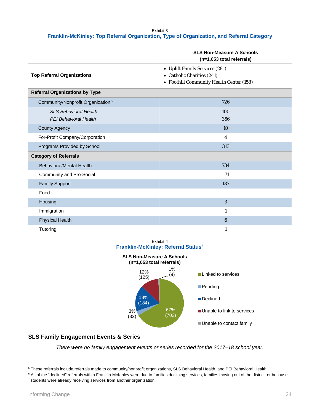#### Exhibit 3 **Franklin-McKinley: Top Referral Organization, Type of Organization, and Referral Category**

|                                                       | <b>SLS Non-Measure A Schools</b><br>(n=1,053 total referrals)                                            |
|-------------------------------------------------------|----------------------------------------------------------------------------------------------------------|
| <b>Top Referral Organizations</b>                     | • Uplift Family Services (281)<br>• Catholic Charities (241)<br>• Foothill Community Health Center (158) |
| <b>Referral Organizations by Type</b>                 |                                                                                                          |
| Community/Nonprofit Organization <sup>5</sup>         | 726                                                                                                      |
| <b>SLS Behavioral Health</b><br>PEI Behavioral Health | 100<br>356                                                                                               |
| <b>County Agency</b>                                  | 10                                                                                                       |
| For-Profit Company/Corporation                        | 4                                                                                                        |
| Programs Provided by School                           | 313                                                                                                      |
| <b>Category of Referrals</b>                          |                                                                                                          |
| <b>Behavioral/Mental Health</b>                       | 734                                                                                                      |
| Community and Pro-Social                              | 171                                                                                                      |
| <b>Family Support</b>                                 | 137                                                                                                      |
| Food                                                  | $\overline{\phantom{a}}$                                                                                 |
| Housing                                               | 3                                                                                                        |
| Immigration                                           | $\mathbf{1}$                                                                                             |
| <b>Physical Health</b>                                | $6\phantom{1}$                                                                                           |
| Tutoring                                              | $\mathbf{1}$                                                                                             |

Exhibit 4 **Franklin-McKinley: Referral Status5**



## **SLS Family Engagement Events & Series**

*There were no family engagement events or series recorded for the 2017–18 school year.*

<span id="page-25-0"></span><sup>5</sup> These referrals include referrals made to community/nonprofit organizations, SLS Behavioral Health, and PEI Behavioral Health.

<span id="page-25-1"></span><sup>&</sup>lt;sup>6</sup> All of the "declined" referrals within Franklin-McKinley were due to families declining services, families moving out of the district, or because students were already receiving services from another organization.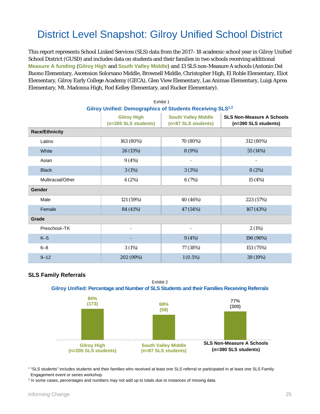## District Level Snapshot: Gilroy Unified School District

This report represents School Linked Services (SLS) data from the 2017–18 academic school year in Gilroy Unified School District (GUSD) and includes data on students and their families in two schools receiving additional **Measure A funding** (**Gilroy High** and **South Valley Middle**) and 13 SLS non-Measure A schools (Antonio Del Buono Elementary, Ascension Solorsano Middle, Brownell Middle, Christopher High, El Roble Elementary, Eliot Elementary, Gilroy Early College Academy (GECA), Glen View Elementary, Las Animas Elementary, Luigi Aprea Elementary, Mt. Madonna High, Rod Kelley Elementary, and Rucker Elementary). [1](#page-26-0)

**[2](#page-26-1)** Exhibit 1

| Gilroy Unified: Demographics of Students Receiving SLS <sup>1,2</sup> |                                            |                                                   |                                                          |  |  |  |
|-----------------------------------------------------------------------|--------------------------------------------|---------------------------------------------------|----------------------------------------------------------|--|--|--|
|                                                                       | <b>Gilroy High</b><br>(n=205 SLS students) | <b>South Valley Middle</b><br>(n=87 SLS students) | <b>SLS Non-Measure A Schools</b><br>(n=390 SLS students) |  |  |  |
| <b>Race/Ethnicity</b>                                                 |                                            |                                                   |                                                          |  |  |  |
| Latino                                                                | 163 (80%)                                  | 70 (80%)                                          | 312 (80%)                                                |  |  |  |
| White                                                                 | 26 (13%)                                   | 8 (9%)                                            | 55 (14%)                                                 |  |  |  |
| Asian                                                                 | 9(4%)                                      | ÷,                                                | $\overline{\phantom{a}}$                                 |  |  |  |
| <b>Black</b>                                                          | 3(1%)                                      | 3(3%)                                             | 8 (2%)                                                   |  |  |  |
| Multiracial/Other                                                     | 4(2%)                                      | 6(7%)                                             | 15 (4%)                                                  |  |  |  |
| <b>Gender</b>                                                         |                                            |                                                   |                                                          |  |  |  |
| Male                                                                  | 121 (59%)                                  | 40 (46%)                                          | 223 (57%)                                                |  |  |  |
| Female                                                                | 84 (41%)                                   | 47 (54%)                                          | 167 (43%)                                                |  |  |  |
| Grade                                                                 |                                            |                                                   |                                                          |  |  |  |
| Preschool-TK                                                          |                                            |                                                   | 2(1%)                                                    |  |  |  |
| $K-5$                                                                 |                                            | 9(4%)                                             | 196 (96%)                                                |  |  |  |
| $6 - 8$                                                               | 3(1%)                                      | 77 (38%)                                          | 153 (75%)                                                |  |  |  |
| $9 - 12$                                                              | 202 (99%)                                  | $1(0.5\%)$                                        | 39 (19%)                                                 |  |  |  |

### **SLS Family Referrals**



<span id="page-26-0"></span><sup>1</sup> "SLS students" includes students and their families who received at least one SLS referral or participated in at least one SLS Family Engagement event or series workshop.

<span id="page-26-1"></span><sup>2</sup> In some cases, percentages and numbers may not add up to totals due to instances of missing data.

. . . . . . . . . . . . . . . . . .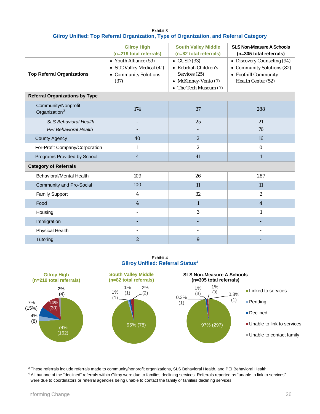| Exhibit 3                                                                              |
|----------------------------------------------------------------------------------------|
| Gilroy Unified: Top Referral Organization, Type of Organization, and Referral Category |

|                                                              | <b>Gilroy High</b><br>(n=219 total referrals)                                       | <b>South Valley Middle</b><br>(n=82 total referrals)                                                          | <b>SLS Non-Measure A Schools</b><br>(n=305 total referrals)                                             |
|--------------------------------------------------------------|-------------------------------------------------------------------------------------|---------------------------------------------------------------------------------------------------------------|---------------------------------------------------------------------------------------------------------|
| <b>Top Referral Organizations</b>                            | • Youth Alliance (59)<br>• SCC Valley Medical (41)<br>• Community Solutions<br>(37) | $\bullet$ GUSD (33)<br>• Rebekah Children's<br>Services (25)<br>• McKinney-Vento (7)<br>• The Tech Museum (7) | • Discovery Counseling (94)<br>• Community Solutions (82)<br>• Foothill Community<br>Health Center (52) |
| <b>Referral Organizations by Type</b>                        |                                                                                     |                                                                                                               |                                                                                                         |
| Community/Nonprofit<br>Organization <sup>3</sup>             | 174                                                                                 | 37                                                                                                            | 288                                                                                                     |
| <b>SLS Behavioral Health</b><br><b>PEI Behavioral Health</b> |                                                                                     | 25                                                                                                            | 21<br>76                                                                                                |
| <b>County Agency</b>                                         | 40                                                                                  | $\boldsymbol{2}$                                                                                              | 16                                                                                                      |
| For-Profit Company/Corporation                               | $\mathbf{1}$                                                                        | $\boldsymbol{2}$                                                                                              | $\mathbf{0}$                                                                                            |
| Programs Provided by School                                  | $\overline{4}$                                                                      | 41                                                                                                            | $\mathbf{1}$                                                                                            |
| <b>Category of Referrals</b>                                 |                                                                                     |                                                                                                               |                                                                                                         |
| Behavioral/Mental Health                                     | 109                                                                                 | 26                                                                                                            | 287                                                                                                     |
| <b>Community and Pro-Social</b>                              | 100                                                                                 | 11                                                                                                            | 11                                                                                                      |
| <b>Family Support</b>                                        | 4                                                                                   | 32                                                                                                            | $\boldsymbol{2}$                                                                                        |
| Food                                                         | $\overline{4}$                                                                      | $\mathbf{1}$                                                                                                  | $\overline{4}$                                                                                          |
| Housing                                                      | $\overline{a}$                                                                      | 3                                                                                                             | $\mathbf{1}$                                                                                            |
| Immigration                                                  |                                                                                     |                                                                                                               |                                                                                                         |
| <b>Physical Health</b>                                       | ÷,                                                                                  |                                                                                                               |                                                                                                         |
| Tutoring                                                     | $\boldsymbol{2}$                                                                    | 9                                                                                                             |                                                                                                         |

Exhibit 4 **Gilroy Unified: Referral Status[4](#page-27-0)**



<span id="page-27-1"></span><sup>3</sup> These referrals include referrals made to community/nonprofit organizations, SLS Behavioral Health, and PEI Behavioral Health.

<span id="page-27-0"></span><sup>4</sup> All but one of the "declined" referrals within Gilroy were due to families declining services. Referrals reported as "unable to link to services" were due to coordinators or referral agencies being unable to contact the family or families declining services.

. . . . . . . . . . . . . . . . . . .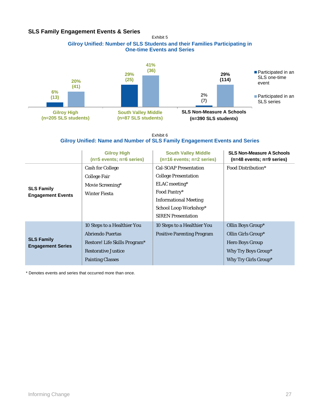## **SLS Family Engagement Events & Series**

Exhibit 5





#### Exhibit 6 **Gilroy Unified: Name and Number of SLS Family Engagement Events and Series**

|                                               | <b>Gilroy High</b><br>$(n=5$ events; $n=6$ series)                                                                                        | <b>South Valley Middle</b><br>$(n=16$ events; $n=2$ series)                                                                                                                        | <b>SLS Non-Measure A Schools</b><br>$(n=48$ events; $n=9$ series)                                                |
|-----------------------------------------------|-------------------------------------------------------------------------------------------------------------------------------------------|------------------------------------------------------------------------------------------------------------------------------------------------------------------------------------|------------------------------------------------------------------------------------------------------------------|
| <b>SLS Family</b><br><b>Engagement Events</b> | <b>Cash for College</b><br><b>College Fair</b><br>Movie Screening*<br><b>Winter Fiesta</b>                                                | <b>Cal-SOAP Presentation</b><br><b>College Presentation</b><br>ELAC meeting*<br>Food Pantry*<br><b>Informational Meeting</b><br>School Loop Workshop*<br><b>SIREN</b> Presentation | Food Distribution*                                                                                               |
| <b>SLS Family</b><br><b>Engagement Series</b> | 10 Steps to a Healthier You<br>Abriendo Puertas<br>Restore! Life Skills Program*<br><b>Restorative Justice</b><br><b>Painting Classes</b> | 10 Steps to a Healthier You<br><b>Positive Parenting Program</b>                                                                                                                   | Ollin Boys Group*<br>Ollin Girls Group*<br><b>Hero Boys Group</b><br>Why Try Boys Group*<br>Why Try Girls Group* |

\* Denotes events and series that occurred more than once.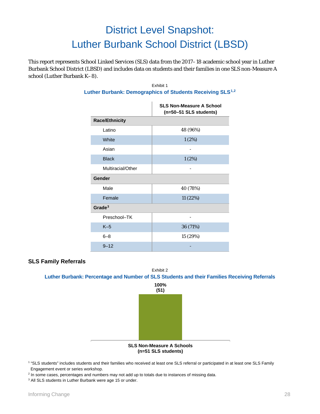# District Level Snapshot: Luther Burbank School District (LBSD)

This report represents School Linked Services (SLS) data from the 2017–18 academic school year in Luther Burbank School District (LBSD) and includes data on students and their families in one SLS non-Measure A school (Luther Burbank K–8).

|                       | <b>SLS Non-Measure A School</b><br>(n=50-51 SLS students) |
|-----------------------|-----------------------------------------------------------|
| <b>Race/Ethnicity</b> |                                                           |
| Latino                | 48 (96%)                                                  |
| White                 | 1(2%)                                                     |
| Asian                 |                                                           |
| <b>Black</b>          | 1(2%)                                                     |
| Multiracial/Other     |                                                           |
| Gender                |                                                           |
| Male                  | 40 (78%)                                                  |
| Female                | 11 (22%)                                                  |
| Grade $3$             |                                                           |
| Preschool-TK          |                                                           |
| $K-5$                 | 36 (71%)                                                  |
| $6 - 8$               | 15 (29%)                                                  |
| $9 - 12$              |                                                           |

#### Exhibit 1 **Luther Burbank: Demographics of Students Receiving SLS[1](#page-29-0),[2](#page-29-1)**

## **SLS Family Referrals**





<span id="page-29-0"></span><sup>1</sup> "SLS students" includes students and their families who received at least one SLS referral or participated in at least one SLS Family Engagement event or series workshop.

<span id="page-29-1"></span> $2$  In some cases, percentages and numbers may not add up to totals due to instances of missing data.

<span id="page-29-2"></span><sup>3</sup> All SLS students in Luther Burbank were age 15 or under.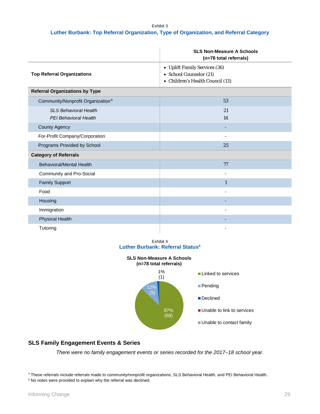### Exhibit 3 **Luther Burbank: Top Referral Organization, Type of Organization, and Referral Category**

|                                                       | <b>SLS Non-Measure A Schools</b><br>(n=78 total referrals)                                   |
|-------------------------------------------------------|----------------------------------------------------------------------------------------------|
| <b>Top Referral Organizations</b>                     | • Uplift Family Services (36)<br>• School Counselor (21)<br>• Children's Health Council (13) |
| <b>Referral Organizations by Type</b>                 |                                                                                              |
| Community/Nonprofit Organization <sup>4</sup>         | 53                                                                                           |
| <b>SLS Behavioral Health</b><br>PEI Behavioral Health | 21<br>14                                                                                     |
| <b>County Agency</b>                                  |                                                                                              |
| For-Profit Company/Corporation                        | $\overline{\phantom{a}}$                                                                     |
| Programs Provided by School                           | 25                                                                                           |
| <b>Category of Referrals</b>                          |                                                                                              |
| <b>Behavioral/Mental Health</b>                       | 77                                                                                           |
| Community and Pro-Social                              |                                                                                              |
| <b>Family Support</b>                                 | $\mathbf{1}$                                                                                 |
| Food                                                  |                                                                                              |
| Housing                                               |                                                                                              |
| Immigration                                           |                                                                                              |
| <b>Physical Health</b>                                |                                                                                              |
| Tutoring                                              |                                                                                              |

#### Exhibit 4 **Luther Burbank: Referral Status5**



## **SLS Family Engagement Events & Series**

*There were no family engagement events or series recorded for the 2017–18 school year.*

<span id="page-30-0"></span><sup>4</sup> These referrals include referrals made to community/nonprofit organizations, SLS Behavioral Health, and PEI Behavioral Health. <sup>5</sup> No notes were provided to explain why the referral was declined.

<span id="page-30-1"></span>

. . . . . . . . . . . . . . . . . .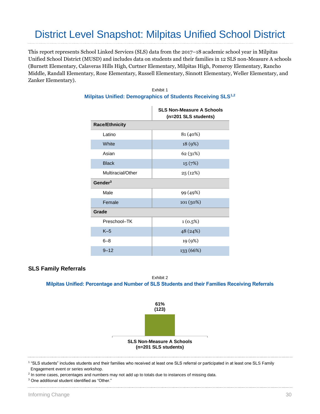## District Level Snapshot: Milpitas Unified School District

This report represents School Linked Services (SLS) data from the 2017–18 academic school year in Milpitas Unified School District (MUSD) and includes data on students and their families in 12 SLS non-Measure A schools (Burnett Elementary, Calaveras Hills High, Curtner Elementary, Milpitas High, Pomeroy Elementary, Rancho Middle, Randall Elementary, Rose Elementary, Russell Elementary, Sinnott Elementary, Weller Elementary, and Zanker Elementary).

|                       | <b>SLS Non-Measure A Schools</b><br>(n=201 SLS students) |
|-----------------------|----------------------------------------------------------|
| <b>Race/Ethnicity</b> |                                                          |
| Latino                | 81 (40%)                                                 |
| <b>White</b>          | 18 (9%)                                                  |
| Asian                 | 62 (31%)                                                 |
| <b>Black</b>          | 15(7%)                                                   |
| Multiracial/Other     | 25 (12%)                                                 |
| Gender $3$            |                                                          |
| Male                  | 99 (49%)                                                 |
| Female                | 101(50%)                                                 |
| Grade                 |                                                          |
| Preschool-TK          | $1(0.5\%)$                                               |
| $K-5$                 | 48 (24%)                                                 |
| $6 - 8$               | 19 (9%)                                                  |
| $9 - 12$              | 133 (66%)                                                |

### Exhibit 1 **Milpitas Unified: Demographics of Students Receiving SLS1,2**

### **SLS Family Referrals**

#### Exhibit 2 **Milpitas Unified: Percentage and Number of SLS Students and their Families Receiving Referrals**



1 "SLS students" includes students and their families who received at least one SLS referral or participated in at least one SLS Family Engagement event or series workshop.

<sup>2</sup> In some cases, percentages and numbers may not add up to totals due to instances of missing data.

<sup>3</sup> One additional student identified as "Other."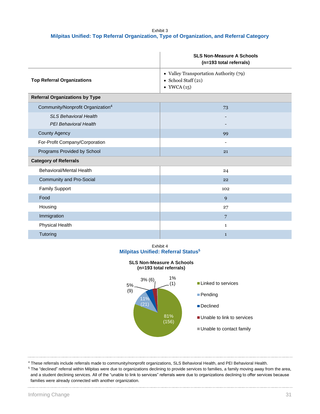#### Exhibit 3 **Milpitas Unified: Top Referral Organization, Type of Organization, and Referral Category**

|                                                       | <b>SLS Non-Measure A Schools</b><br>(n=193 total referrals)                                    |
|-------------------------------------------------------|------------------------------------------------------------------------------------------------|
| <b>Top Referral Organizations</b>                     | • Valley Transportation Authority (79)<br>$\bullet$ School Staff (21)<br>$\bullet$ YWCA $(15)$ |
| <b>Referral Organizations by Type</b>                 |                                                                                                |
| Community/Nonprofit Organization <sup>4</sup>         | 73                                                                                             |
| <b>SLS Behavioral Health</b><br>PEI Behavioral Health |                                                                                                |
| <b>County Agency</b>                                  | 99                                                                                             |
| For-Profit Company/Corporation                        | $\overline{\phantom{a}}$                                                                       |
| Programs Provided by School                           | 21                                                                                             |
| <b>Category of Referrals</b>                          |                                                                                                |
| <b>Behavioral/Mental Health</b>                       | 24                                                                                             |
| Community and Pro-Social                              | 22                                                                                             |
| <b>Family Support</b>                                 | 102                                                                                            |
| Food                                                  | 9                                                                                              |
| Housing                                               | 27                                                                                             |
| Immigration                                           | $\overline{7}$                                                                                 |
| <b>Physical Health</b>                                | $\mathbf{1}$                                                                                   |
| Tutoring                                              | $\mathbf{1}$                                                                                   |

#### Exhibit 4 **Milpitas Unified: Referral Status<sup>5</sup>**

#### **SLS Non-Measure A Schools (n=193 total referrals)**



<sup>4</sup> These referrals include referrals made to community/nonprofit organizations, SLS Behavioral Health, and PEI Behavioral Health.

<sup>5</sup> The "declined" referral within Milpitas were due to organizations declining to provide services to families, a family moving away from the area, and a student declining services. All of the "unable to link to services" referrals were due to organizations declining to offer services because families were already connected with another organization.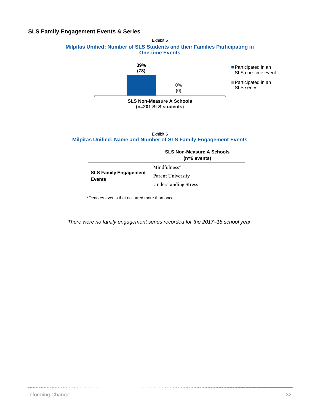## **SLS Family Engagement Events & Series**

#### Exhibit 5 **Milpitas Unified: Number of SLS Students and their Families Participating in One-time Events**



Exhibit 6 **Milpitas Unified: Name and Number of SLS Family Engagement Events** 

|                                               | <b>SLS Non-Measure A Schools</b><br>$(n=6$ events) |
|-----------------------------------------------|----------------------------------------------------|
|                                               | Mindfulness*                                       |
| <b>SLS Family Engagement</b><br><b>Events</b> | Parent University                                  |
|                                               | <b>Understanding Stress</b>                        |

\*Denotes events that occurred more than once.

*There were no family engagement series recorded for the 2017–18 school year.*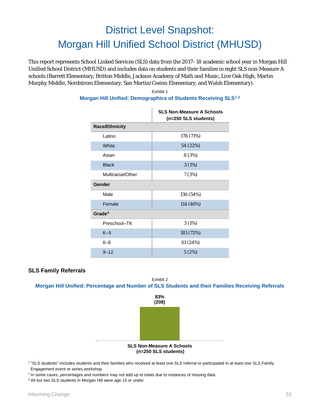# District Level Snapshot: Morgan Hill Unified School District (MHUSD)

This report represents School Linked Services (SLS) data from the 2017–18 academic school year in Morgan Hill Unified School District (MHUSD) and includes data on students and their families in eight SLS non-Measure A schools (Barrett Elementary, Britton Middle, Jackson Academy of Math and Music, Live Oak High, Martin Murphy Middle, Nordstrom Elementary, San Martin/Gwinn Elementary, and Walsh Elementary).

|                       | <b>SLS Non-Measure A Schools</b><br>(n=250 SLS students) |
|-----------------------|----------------------------------------------------------|
| <b>Race/Ethnicity</b> |                                                          |
| Latino                | 178 (71%)                                                |
| <b>White</b>          | 54 (22%)                                                 |
| Asian                 | 8 (3%)                                                   |
| <b>Black</b>          | 3(1%)                                                    |
| Multiracial/Other     | 7(3%)                                                    |
| Gender                |                                                          |
| Male                  | 136 (54%)                                                |
| Female                | 114 (46%)                                                |
| Grade $3$             |                                                          |
| Preschool-TK          | 3(1%)                                                    |
| $K-5$                 | 181 (72%)                                                |
| $6 - 8$               | 61 (24%)                                                 |
| $9 - 12$              | 5(2%)                                                    |

#### Exhibit 1 **Morgan Hill Unified: Demographics of Students Receiving SLS[1](#page-34-0),[2](#page-34-1)**

## **SLS Family Referrals**

Exhibit 2 **Morgan Hill Unified: Percentage and Number of SLS Students and their Families Receiving Referrals**



<span id="page-34-0"></span><sup>1</sup> "SLS students" includes students and their families who received at least one SLS referral or participated in at least one SLS Family Engagement event or series workshop.

<span id="page-34-1"></span> $2$  In some cases, percentages and numbers may not add up to totals due to instances of missing data.

<span id="page-34-2"></span><sup>3</sup> All but two SLS students in Morgan Hill were age 15 or under.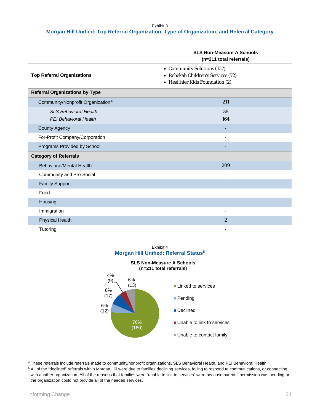#### Exhibit 3 **Morgan Hill Unified: Top Referral Organization, Type of Organization, and Referral Category**

|                                                              | <b>SLS Non-Measure A Schools</b><br>(n=211 total referrals)                                          |
|--------------------------------------------------------------|------------------------------------------------------------------------------------------------------|
| <b>Top Referral Organizations</b>                            | • Community Solutions (137)<br>• Rebekah Children's Services (72)<br>• Healthier Kids Foundation (2) |
| <b>Referral Organizations by Type</b>                        |                                                                                                      |
| Community/Nonprofit Organization <sup>4</sup>                | 211                                                                                                  |
| <b>SLS Behavioral Health</b><br><b>PEI Behavioral Health</b> | 38<br>164                                                                                            |
| <b>County Agency</b>                                         |                                                                                                      |
| For-Profit Company/Corporation                               |                                                                                                      |
| Programs Provided by School                                  |                                                                                                      |
| <b>Category of Referrals</b>                                 |                                                                                                      |
| <b>Behavioral/Mental Health</b>                              | 209                                                                                                  |
| Community and Pro-Social                                     |                                                                                                      |
| <b>Family Support</b>                                        |                                                                                                      |
| Food                                                         |                                                                                                      |
| Housing                                                      |                                                                                                      |
| Immigration                                                  | ÷,                                                                                                   |
| <b>Physical Health</b>                                       | $\overline{2}$                                                                                       |
| Tutoring                                                     |                                                                                                      |

Exhibit 4 **Morgan Hill Unified: Referral Status5**



<span id="page-35-0"></span><sup>4</sup> These referrals include referrals made to community/nonprofit organizations, SLS Behavioral Health, and PEI Behavioral Health.

<span id="page-35-1"></span><sup>5</sup> All of the "declined" referrals within Morgan Hill were due to families declining services, failing to respond to communications, or connecting with another organization. All of the reasons that families were "unable to link to services" were because parents' permission was pending or the organization could not provide all of the needed services.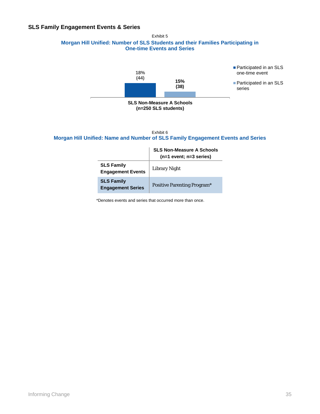## **SLS Family Engagement Events & Series**

Exhibit 5 **Morgan Hill Unified: Number of SLS Students and their Families Participating in One-time Events and Series**



Exhibit 6 **Morgan Hill Unified: Name and Number of SLS Family Engagement Events and Series**

|                                               | <b>SLS Non-Measure A Schools</b><br>$(n=1$ event; $n=3$ series) |
|-----------------------------------------------|-----------------------------------------------------------------|
| <b>SLS Family</b><br><b>Engagement Events</b> | <b>Library Night</b>                                            |
| <b>SLS Family</b><br><b>Engagement Series</b> | <b>Positive Parenting Program*</b>                              |

\*Denotes events and series that occurred more than once.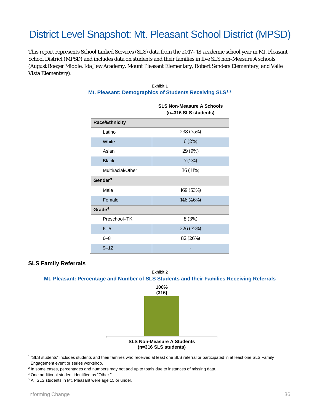## District Level Snapshot: Mt. Pleasant School District (MPSD)

This report represents School Linked Services (SLS) data from the 2017–18 academic school year in Mt. Pleasant School District (MPSD) and includes data on students and their families in five SLS non-Measure A schools (August Boeger Middle, Ida Jew Academy, Mount Pleasant Elementary, Robert Sanders Elementary, and Valle Vista Elementary).

|                       | <b>SLS Non-Measure A Schools</b><br>(n=316 SLS students) |
|-----------------------|----------------------------------------------------------|
| <b>Race/Ethnicity</b> |                                                          |
| Latino                | 238 (75%)                                                |
| White                 | 6(2%)                                                    |
| Asian                 | 29 (9%)                                                  |
| <b>Black</b>          | 7(2%)                                                    |
| Multiracial/Other     | 36 (11%)                                                 |
| Gender <sup>3</sup>   |                                                          |
| Male                  | 169 (53%)                                                |
| Female                | 146 (46%)                                                |
| Grade <sup>4</sup>    |                                                          |
| Preschool-TK          | 8 (3%)                                                   |
| $K-5$                 | 226 (72%)                                                |
| $6 - 8$               | 82 (26%)                                                 |
| $9 - 12$              |                                                          |

### Exhibit 1 **Mt. Pleasant: Demographics of Students Receiving SLS[1](#page-37-0),[2](#page-37-1)**

### **SLS Family Referrals**

#### Exhibit 2 **Mt. Pleasant: Percentage and Number of SLS Students and their Families Receiving Referrals**



<span id="page-37-0"></span><sup>1</sup> "SLS students" includes students and their families who received at least one SLS referral or participated in at least one SLS Family

Engagement event or series workshop.

<span id="page-37-1"></span><sup>2</sup> In some cases, percentages and numbers may not add up to totals due to instances of missing data.

<span id="page-37-2"></span><sup>3</sup> One additional student identified as "Other."

<span id="page-37-3"></span><sup>3</sup> All SLS students in Mt. Pleasant were age 15 or under.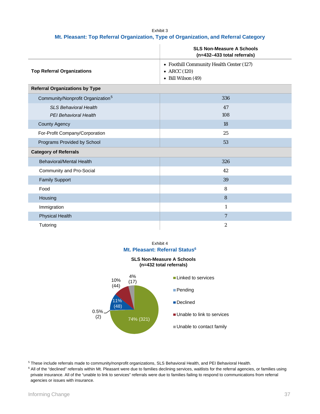#### Exhibit 3 **Mt. Pleasant: Top Referral Organization, Type of Organization, and Referral Category**

|                                                       | <b>SLS Non-Measure A Schools</b><br>(n=432-433 total referrals)                        |
|-------------------------------------------------------|----------------------------------------------------------------------------------------|
| <b>Top Referral Organizations</b>                     | • Foothill Community Health Center (127)<br>$\bullet$ ARCC (120)<br>• Bill Wilson (49) |
| <b>Referral Organizations by Type</b>                 |                                                                                        |
| Community/Nonprofit Organization <sup>5</sup>         | 336                                                                                    |
| <b>SLS Behavioral Health</b><br>PEI Behavioral Health | 47<br>108                                                                              |
| <b>County Agency</b>                                  | 18                                                                                     |
| For-Profit Company/Corporation                        | 25                                                                                     |
| Programs Provided by School                           | 53                                                                                     |
| <b>Category of Referrals</b>                          |                                                                                        |
| <b>Behavioral/Mental Health</b>                       | 326                                                                                    |
| Community and Pro-Social                              | 42                                                                                     |
| <b>Family Support</b>                                 | 39                                                                                     |
| Food                                                  | 8                                                                                      |
| Housing                                               | 8                                                                                      |
| Immigration                                           | $\mathbf{1}$                                                                           |
| <b>Physical Health</b>                                | $\overline{7}$                                                                         |
| Tutoring                                              | $\boldsymbol{2}$                                                                       |

#### Exhibit 4 **Mt. Pleasant: Referral Status<sup>6</sup>**

**SLS Non-Measure A Schools (n=432 total referrals)**



<span id="page-38-0"></span><sup>5</sup> These include referrals made to community/nonprofit organizations, SLS Behavioral Health, and PEI Behavioral Health.

<span id="page-38-1"></span><sup>6</sup> All of the "declined" referrals within Mt. Pleasant were due to families declining services, waitlists for the referral agencies, or families using private insurance. All of the "unable to link to services" referrals were due to families failing to respond to communications from referral agencies or issues with insurance.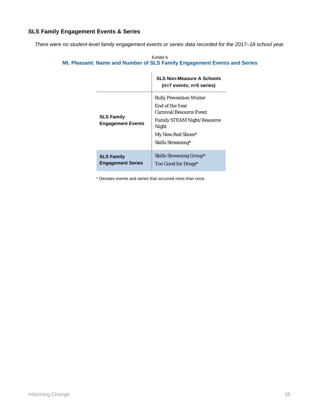## **SLS Family Engagement Events & Series**

*There were no student-level family engagement events or series data recorded for the 2017–18 school year.*

|                                               | <b>SLS Non-Measure A Schools</b><br>$(n=7$ events; $n=5$ series)                                                                                                             |
|-----------------------------------------------|------------------------------------------------------------------------------------------------------------------------------------------------------------------------------|
| <b>SLS Family</b><br><b>Engagement Events</b> | <b>Bully Prevention Winter</b><br>End of the Year<br><b>Carnival/Resource Event</b><br><b>Family STEAM Night/Resource</b><br>Night<br>My New Red Shoes*<br>Skills Streaming* |
| <b>SLS Family</b><br><b>Engagement Series</b> | <b>Skills Streaming Group*</b><br>Too Good for Drugs*                                                                                                                        |

Exhibit 6 **Mt. Pleasant: Name and Number of SLS Family Engagement Events and Series**

\* Denotes events and series that occurred more than once.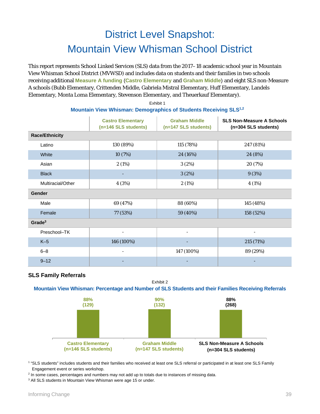## District Level Snapshot: Mountain View Whisman School District

This report represents School Linked Services (SLS) data from the 2017–18 academic school year in Mountain View Whisman School District (MVWSD) and includes data on students and their families in two schools receiving additional **Measure A funding** (**Castro Elementary** and **Graham Middle**) and eight SLS non-Measure A schools (Bubb Elementary, Crittenden Middle, Gabriela Mistral Elementary, Huff Elementary, Landels Elementary, Monta Loma Elementary, Stevenson Elementary, and Theuerkauf Elementary). [1](#page-40-0)

|                       | <b>Castro Elementary</b><br>(n=146 SLS students) | <b>Graham Middle</b><br>(n=147 SLS students) | <b>SLS Non-Measure A Schools</b><br>(n=304 SLS students) |
|-----------------------|--------------------------------------------------|----------------------------------------------|----------------------------------------------------------|
| <b>Race/Ethnicity</b> |                                                  |                                              |                                                          |
| Latino                | 130 (89%)                                        | 115 (78%)                                    | 247 (81%)                                                |
| White                 | 10(7%)                                           | 24 (16%)                                     | 24 (8%)                                                  |
| Asian                 | 2(1%)                                            | 3(2%)                                        | 20 (7%)                                                  |
| <b>Black</b>          |                                                  | 3(2%)                                        | 9(3%)                                                    |
| Multiracial/Other     | 4 (3%)                                           | 2(1%)                                        | 4(1%)                                                    |
| <b>Gender</b>         |                                                  |                                              |                                                          |
| Male                  | 69 (47%)                                         | 88 (60%)                                     | 145 (48%)                                                |
| Female                | 77 (53%)                                         | 59 (40%)                                     | 158 (52%)                                                |
| Grade <sup>3</sup>    |                                                  |                                              |                                                          |
| Preschool-TK          | $\overline{\phantom{0}}$                         |                                              |                                                          |
| $K-5$                 | 146 (100%)                                       |                                              | 215 (71%)                                                |
| $6 - 8$               |                                                  | 147 (100%)                                   | 89 (29%)                                                 |
|                       |                                                  |                                              |                                                          |

#### **[2](#page-40-1) Mountain View Whisman: Demographics of Students Receiving SLS1,2** Exhibit 1

## **SLS Family Referrals**

Exhibit 2

9–12 - - -

## **Mountain View Whisman: Percentage and Number of SLS Students and their Families Receiving Referrals**



<span id="page-40-0"></span><sup>1</sup> "SLS students" includes students and their families who received at least one SLS referral or participated in at least one SLS Family Engagement event or series workshop.

<span id="page-40-1"></span> $2$  In some cases, percentages and numbers may not add up to totals due to instances of missing data.

<span id="page-40-2"></span><sup>3</sup> All SLS students in Mountain View Whisman were age 15 or under.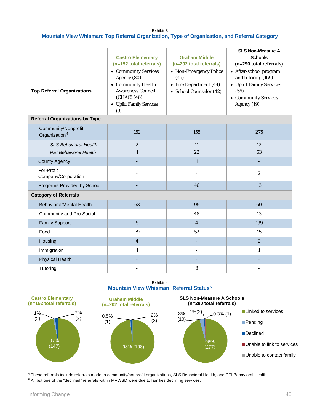Exhibit 3 **Mountain View Whisman: Top Referral Organization, Type of Organization, and Referral Category**

| <b>Top Referral Organizations</b>                     | <b>Castro Elementary</b><br>(n=152 total referrals)<br>• Community Services<br>Agency (80)<br>• Community Health<br><b>Awareness Council</b><br>(CHAC) (46)<br>• Uplift Family Services<br>(9) | <b>Graham Middle</b><br>(n=202 total referrals)<br>• Non-Emergency Police<br>(47)<br>• Fire Department (44)<br>• School Counselor (42) | <b>SLS Non-Measure A</b><br><b>Schools</b><br>(n=290 total referrals)<br>• After-school program<br>and tutoring (169)<br>• Uplift Family Services<br>(56)<br>• Community Services<br>Agency (19) |  |
|-------------------------------------------------------|------------------------------------------------------------------------------------------------------------------------------------------------------------------------------------------------|----------------------------------------------------------------------------------------------------------------------------------------|--------------------------------------------------------------------------------------------------------------------------------------------------------------------------------------------------|--|
| <b>Referral Organizations by Type</b>                 |                                                                                                                                                                                                |                                                                                                                                        |                                                                                                                                                                                                  |  |
| Community/Nonprofit<br>Organization <sup>4</sup>      | 152                                                                                                                                                                                            | 155                                                                                                                                    | 275                                                                                                                                                                                              |  |
| <b>SLS Behavioral Health</b><br>PEI Behavioral Health | $\boldsymbol{2}$<br>$\mathbf{1}$                                                                                                                                                               | 11<br>22                                                                                                                               | 12<br>53                                                                                                                                                                                         |  |
| <b>County Agency</b>                                  |                                                                                                                                                                                                | $\mathbf{1}$                                                                                                                           |                                                                                                                                                                                                  |  |
| For-Profit<br>Company/Corporation                     |                                                                                                                                                                                                |                                                                                                                                        | $\overline{2}$                                                                                                                                                                                   |  |
| Programs Provided by School                           |                                                                                                                                                                                                | 46                                                                                                                                     | 13                                                                                                                                                                                               |  |
| <b>Category of Referrals</b>                          |                                                                                                                                                                                                |                                                                                                                                        |                                                                                                                                                                                                  |  |
| <b>Behavioral/Mental Health</b>                       | 63                                                                                                                                                                                             | 95                                                                                                                                     | 60                                                                                                                                                                                               |  |
| Community and Pro-Social                              | ÷,                                                                                                                                                                                             | 48                                                                                                                                     | 13                                                                                                                                                                                               |  |
| <b>Family Support</b>                                 | $\overline{5}$                                                                                                                                                                                 | $\overline{4}$                                                                                                                         | 199                                                                                                                                                                                              |  |
| Food                                                  | 79                                                                                                                                                                                             | 52                                                                                                                                     | 15                                                                                                                                                                                               |  |
| Housing                                               | $\overline{4}$                                                                                                                                                                                 |                                                                                                                                        | $\boldsymbol{2}$                                                                                                                                                                                 |  |
| Immigration                                           | $\mathbf{1}$                                                                                                                                                                                   |                                                                                                                                        | $\mathbf{1}$                                                                                                                                                                                     |  |
| <b>Physical Health</b>                                |                                                                                                                                                                                                |                                                                                                                                        |                                                                                                                                                                                                  |  |
| Tutoring                                              |                                                                                                                                                                                                | 3                                                                                                                                      |                                                                                                                                                                                                  |  |

Exhibit 4 **Mountain View Whisman: Referral Status[5](#page-41-0)**



<span id="page-41-1"></span><sup>4</sup> These referrals include referrals made to community/nonprofit organizations, SLS Behavioral Health, and PEI Behavioral Health. <sup>5</sup> All but one of the "declined" referrals within MVWSD were due to families declining services.

<span id="page-41-0"></span>. . . . . . . . . . . . . . . . . . . .

. . . . . . . . . . . . . . . . . .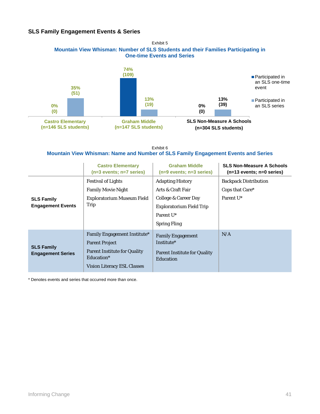## **SLS Family Engagement Events & Series**



Exhibit 6 **Mountain View Whisman: Name and Number of SLS Family Engagement Events and Series**

|                                               | <b>Castro Elementary</b><br>$(n=3$ events; $n=7$ series)                                                                                         | <b>Graham Middle</b><br>$(n=9$ events; $n=3$ series)                                                                                                    | <b>SLS Non-Measure A Schools</b><br>$(n=13$ events; $n=0$ series)        |
|-----------------------------------------------|--------------------------------------------------------------------------------------------------------------------------------------------------|---------------------------------------------------------------------------------------------------------------------------------------------------------|--------------------------------------------------------------------------|
| <b>SLS Family</b><br><b>Engagement Events</b> | <b>Festival of Lights</b><br><b>Family Movie Night</b><br>Exploratorium Museum Field<br>Trip                                                     | <b>Adapting History</b><br>Arts & Craft Fair<br>College & Career Day<br><b>Exploratorium Field Trip</b><br>Parent U <sup>*</sup><br><b>Spring Fling</b> | <b>Backpack Distribution</b><br>Cops that Care*<br>Parent U <sup>*</sup> |
| <b>SLS Family</b><br><b>Engagement Series</b> | <b>Family Engagement Institute*</b><br><b>Parent Project</b><br><b>Parent Institute for Quality</b><br>Education*<br>Vision Literacy ESL Classes | <b>Family Engagement</b><br>Institute*<br><b>Parent Institute for Quality</b><br>Education                                                              | N/A                                                                      |

\* Denotes events and series that occurred more than once.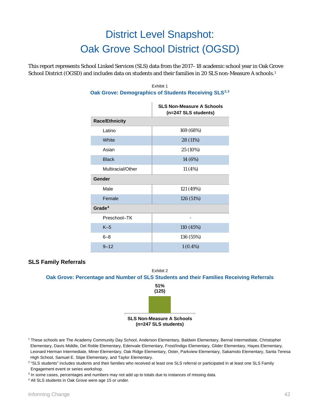# District Level Snapshot: Oak Grove School District (OGSD)

This report represents School Linked Services (SLS) data from the 2017–18 academic school year in Oak Grove School District (OGSD) and includes data on students and their families in 20 SLS non-Measure A schools.[1](#page-43-0)

|                       | <b>SLS Non-Measure A Schools</b><br>(n=247 SLS students) |
|-----------------------|----------------------------------------------------------|
| <b>Race/Ethnicity</b> |                                                          |
| Latino                | 169 (68%)                                                |
| White                 | 28 (11%)                                                 |
| Asian                 | 25 (10%)                                                 |
| <b>Black</b>          | 14 (6%)                                                  |
| Multiracial/Other     | 11 (4%)                                                  |
| Gender                |                                                          |
| Male                  | 121 (49%)                                                |
| Female                | 126 (51%)                                                |
| Grade <sup>4</sup>    |                                                          |
| Preschool-TK          |                                                          |
| $K-5$                 | 110 (45%)                                                |
| $6 - 8$               | 136 (55%)                                                |
| $9 - 12$              | $1(0.4\%)$                                               |

#### Exhibit 1 **Oak Grove: Demographics of Students Receiving SLS[2](#page-43-1),[3](#page-43-2)**

## **SLS Family Referrals**



<span id="page-43-0"></span><sup>1</sup> These schools are The Academy Community Day School, Anderson Elementary, Baldwin Elementary, Bernal Intermediate, Christopher Elementary, Davis Middle, Del Roble Elementary, Edenvale Elementary, Frost/Indigo Elementary, Glider Elementary, Hayes Elementary, Leonard Herman Intermediate, Miner Elementary, Oak Ridge Elementary, Oster, Parkview Elementary, Sakamoto Elementary, Santa Teresa High School, Samuel E. Stipe Elementary, and Taylor Elementary.

<span id="page-43-1"></span><sup>2</sup> "SLS students" includes students and their families who received at least one SLS referral or participated in at least one SLS Family Engagement event or series workshop.

<span id="page-43-2"></span><sup>3</sup> In some cases, percentages and numbers may not add up to totals due to instances of missing data.

<span id="page-43-3"></span><sup>4</sup> All SLS students in Oak Grove were age 15 or under.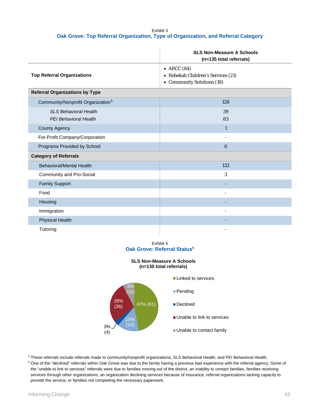#### Exhibit 3 **Oak Grove: Top Referral Organization, Type of Organization, and Referral Category**

|                                                       | <b>SLS Non-Measure A Schools</b><br>(n=135 total referrals)                       |  |
|-------------------------------------------------------|-----------------------------------------------------------------------------------|--|
| <b>Top Referral Organizations</b>                     | • ARCC $(84)$<br>• Rebekah Children's Services (21)<br>• Community Solutions (18) |  |
| <b>Referral Organizations by Type</b>                 |                                                                                   |  |
| Community/Nonprofit Organization <sup>5</sup>         | 128                                                                               |  |
| <b>SLS Behavioral Health</b><br>PEI Behavioral Health | 39<br>83                                                                          |  |
| <b>County Agency</b>                                  | $\mathbf{1}$                                                                      |  |
| For-Profit Company/Corporation                        | ۰                                                                                 |  |
| Programs Provided by School                           | $6\phantom{1}6$                                                                   |  |
| <b>Category of Referrals</b>                          |                                                                                   |  |
| Behavioral/Mental Health                              | 132                                                                               |  |
| Community and Pro-Social                              | 3                                                                                 |  |
| <b>Family Support</b>                                 |                                                                                   |  |
| Food                                                  |                                                                                   |  |
| Housing                                               |                                                                                   |  |
| Immigration                                           |                                                                                   |  |
| <b>Physical Health</b>                                |                                                                                   |  |
| Tutoring                                              |                                                                                   |  |

#### Exhibit 4 **Oak Grove: Referral Status<sup>5</sup>**

#### **SLS Non-Measure A Schools (n=130 total referrals)**



<span id="page-44-0"></span><sup>5</sup> These referrals include referrals made to community/nonprofit organizations, SLS Behavioral Health, and PEI Behavioral Health.

<span id="page-44-1"></span><sup>6</sup> One of the "declined" referrals within Oak Grove was due to the family having a previous bad experience with the referral agency. Some of the "unable to link to services" referrals were due to families moving out of the district, an inability to contact families, families receiving services through other organizations, an organization declining services because of insurance, referral organizations lacking capacity to provide the service, or families not completing the necessary paperwork.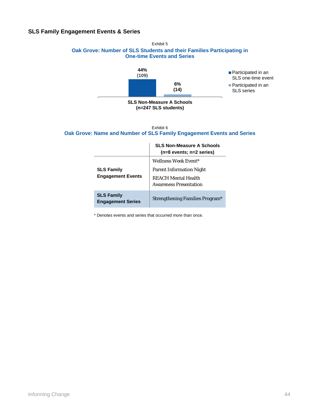## **SLS Family Engagement Events & Series**





#### Exhibit 6 **Oak Grove: Name and Number of SLS Family Engagement Events and Series**

|                                               | <b>SLS Non-Measure A Schools</b><br>$(n=8$ events; $n=2$ series)                                                       |
|-----------------------------------------------|------------------------------------------------------------------------------------------------------------------------|
| <b>SLS Family</b><br><b>Engagement Events</b> | Wellness Week Event*<br><b>Parent Information Night</b><br><b>REACH Mental Health</b><br><b>Awareness Presentation</b> |
| <b>SLS Family</b><br><b>Engagement Series</b> | Strengthening Families Program <sup>*</sup>                                                                            |

\* Denotes events and series that occurred more than once.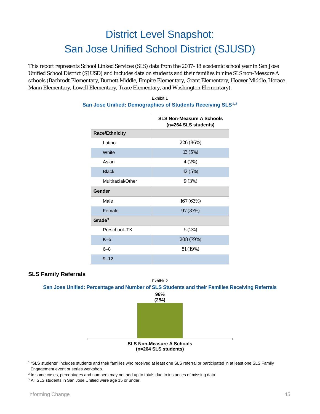## District Level Snapshot: San Jose Unified School District (SJUSD)

This report represents School Linked Services (SLS) data from the 2017–18 academic school year in San Jose Unified School District (SJUSD) and includes data on students and their families in nine SLS non-Measure A schools (Bachrodt Elementary, Burnett Middle, Empire Elementary, Grant Elementary, Hoover Middle, Horace Mann Elementary, Lowell Elementary, Trace Elementary, and Washington Elementary).

#### Exhibit 1 **San Jose Unified: Demographics of Students Receiving SLS[1](#page-46-0),[2](#page-46-1)**

|                       | <b>SLS Non-Measure A Schools</b><br>(n=264 SLS students) |  |
|-----------------------|----------------------------------------------------------|--|
| <b>Race/Ethnicity</b> |                                                          |  |
| Latino                | 226 (86%)                                                |  |
| <b>White</b>          | 13 (5%)                                                  |  |
| Asian                 | 4(2%)                                                    |  |
| <b>Black</b>          | 12 (5%)                                                  |  |
| Multiracial/Other     | 9(3%)                                                    |  |
| Gender                |                                                          |  |
| Male                  | 167 (63%)                                                |  |
| Female                | 97 (37%)                                                 |  |
| Grade $3$             |                                                          |  |
| Preschool-TK          | 5(2%)                                                    |  |
| $K-5$                 | 208 (79%)                                                |  |
| $6 - 8$               | 51 (19%)                                                 |  |
| $9 - 12$              |                                                          |  |

### **SLS Family Referrals**

Exhibit 2 **San Jose Unified: Percentage and Number of SLS Students and their Families Receiving Referrals**



<span id="page-46-0"></span><sup>1</sup> "SLS students" includes students and their families who received at least one SLS referral or participated in at least one SLS Family Engagement event or series workshop.

<span id="page-46-1"></span> $2$  In some cases, percentages and numbers may not add up to totals due to instances of missing data.

<span id="page-46-2"></span><sup>3</sup> All SLS students in San Jose Unified were age 15 or under.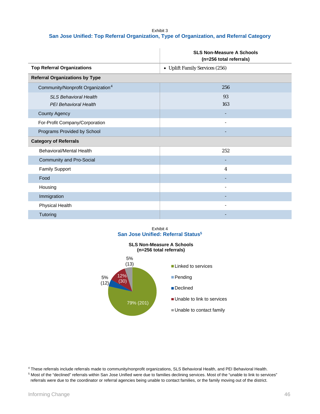#### Exhibit 3 **San Jose Unified: Top Referral Organization, Type of Organization, and Referral Category**

|                                                       | <b>SLS Non-Measure A Schools</b><br>(n=256 total referrals) |
|-------------------------------------------------------|-------------------------------------------------------------|
| <b>Top Referral Organizations</b>                     | • Uplift Family Services (256)                              |
| <b>Referral Organizations by Type</b>                 |                                                             |
| Community/Nonprofit Organization <sup>4</sup>         | 256                                                         |
| <b>SLS Behavioral Health</b><br>PEI Behavioral Health | 93<br>163                                                   |
| <b>County Agency</b>                                  |                                                             |
| For-Profit Company/Corporation                        | $\overline{a}$                                              |
| Programs Provided by School                           |                                                             |
| <b>Category of Referrals</b>                          |                                                             |
| Behavioral/Mental Health                              | 252                                                         |
| <b>Community and Pro-Social</b>                       |                                                             |
| <b>Family Support</b>                                 | 4                                                           |
| Food                                                  |                                                             |
| Housing                                               |                                                             |
| Immigration                                           |                                                             |
| Physical Health                                       |                                                             |
| Tutoring                                              |                                                             |

#### Exhibit 4 **San Jose Unified: Referral Status5**



<span id="page-47-0"></span><sup>4</sup> These referrals include referrals made to community/nonprofit organizations, SLS Behavioral Health, and PEI Behavioral Health. <sup>5</sup> Most of the "declined" referrals within San Jose Unified were due to families declining services. Most of the "unable to link to services"

<span id="page-47-1"></span>referrals were due to the coordinator or referral agencies being unable to contact families, or the family moving out of the district.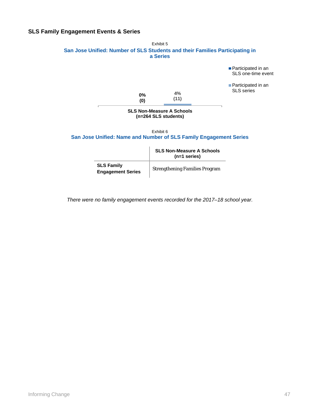## **SLS Family Engagement Events & Series**



| <b>SLS Family</b>        | <b>Strengthening Families Program</b> |
|--------------------------|---------------------------------------|
| <b>Engagement Series</b> |                                       |

*There were no family engagement events recorded for the 2017–18 school year.*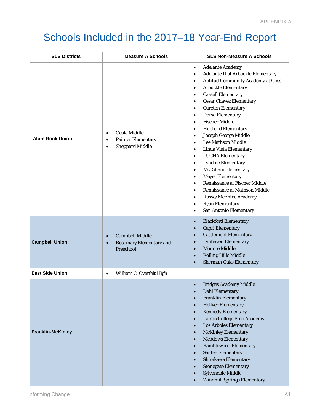# Schools Included in the 2017–18 Year-End Report

| <b>SLS Districts</b>     | <b>Measure A Schools</b>                                                                                   | <b>SLS Non-Measure A Schools</b>                                                                                                                                                                                                                                                                                                                                                                                                                                                                                                                                                                                                                                                                                                                                                                                                                                                                                                                                  |
|--------------------------|------------------------------------------------------------------------------------------------------------|-------------------------------------------------------------------------------------------------------------------------------------------------------------------------------------------------------------------------------------------------------------------------------------------------------------------------------------------------------------------------------------------------------------------------------------------------------------------------------------------------------------------------------------------------------------------------------------------------------------------------------------------------------------------------------------------------------------------------------------------------------------------------------------------------------------------------------------------------------------------------------------------------------------------------------------------------------------------|
| <b>Alum Rock Union</b>   | Ocala Middle<br>$\bullet$<br><b>Painter Elementary</b><br>$\bullet$<br><b>Sheppard Middle</b><br>$\bullet$ | <b>Adelante Academy</b><br>$\bullet$<br>Adelante II at Arbuckle Elementary<br>$\bullet$<br><b>Aptitud Community Academy at Goss</b><br>$\bullet$<br><b>Arbuckle Elementary</b><br>$\bullet$<br><b>Cassell Elementary</b><br>$\bullet$<br><b>Cesar Chavez Elementary</b><br>$\bullet$<br><b>Cureton Elementary</b><br>$\bullet$<br><b>Dorsa Elementary</b><br>$\bullet$<br><b>Fischer Middle</b><br>$\bullet$<br><b>Hubbard Elementary</b><br>$\bullet$<br>Joseph George Middle<br>$\bullet$<br><b>Lee Mathson Middle</b><br>$\bullet$<br>Linda Vista Elementary<br>$\bullet$<br><b>LUCHA</b> Elementary<br>$\bullet$<br><b>Lyndale Elementary</b><br>$\bullet$<br>McCollam Elementary<br>$\bullet$<br><b>Meyer Elementary</b><br>$\bullet$<br><b>Renaissance at Fischer Middle</b><br>$\bullet$<br>Renaissance at Mathson Middle<br>$\bullet$<br>Russo/McEntee Academy<br>$\bullet$<br><b>Ryan Elementary</b><br>$\bullet$<br>San Antonio Elementary<br>$\bullet$ |
| <b>Campbell Union</b>    | <b>Campbell Middle</b><br>$\bullet$<br><b>Rosemary Elementary and</b><br>$\bullet$<br>Preschool            | <b>Blackford Elementary</b><br>$\bullet$<br><b>Capri Elementary</b><br>$\bullet$<br><b>Castlemont Elementary</b><br>$\bullet$<br><b>Lynhaven Elementary</b><br>$\bullet$<br><b>Monroe Middle</b><br>$\bullet$<br><b>Rolling Hills Middle</b><br>$\bullet$<br><b>Sherman Oaks Elementary</b><br>$\bullet$                                                                                                                                                                                                                                                                                                                                                                                                                                                                                                                                                                                                                                                          |
| <b>East Side Union</b>   | William C. Overfelt High<br>$\bullet$                                                                      |                                                                                                                                                                                                                                                                                                                                                                                                                                                                                                                                                                                                                                                                                                                                                                                                                                                                                                                                                                   |
| <b>Franklin-McKinley</b> |                                                                                                            | <b>Bridges Academy Middle</b><br><b>Dahl Elementary</b><br>$\bullet$<br><b>Franklin Elementary</b><br>$\bullet$<br><b>Hellyer Elementary</b><br>$\bullet$<br><b>Kennedy Elementary</b><br>$\bullet$<br><b>Lairon College Prep Academy</b><br>$\bullet$<br><b>Los Arboles Elementary</b><br>$\bullet$<br><b>McKinley Elementary</b><br>$\bullet$<br><b>Meadows Elementary</b><br>$\bullet$<br><b>Ramblewood Elementary</b><br>$\bullet$<br><b>Santee Elementary</b><br>$\bullet$<br>Shirakawa Elementary<br>$\bullet$<br><b>Stonegate Elementary</b><br>$\bullet$<br>Sylvandale Middle<br>$\bullet$<br><b>Windmill Springs Elementary</b><br>$\bullet$                                                                                                                                                                                                                                                                                                             |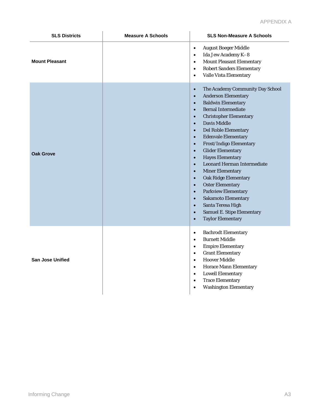| <b>SLS Districts</b>    | <b>Measure A Schools</b> | <b>SLS Non-Measure A Schools</b>                                                                                                                                                                                                                                                                                                                                                                                                                                                                                                                                                                                                                                                                                                                                                                                                                                    |
|-------------------------|--------------------------|---------------------------------------------------------------------------------------------------------------------------------------------------------------------------------------------------------------------------------------------------------------------------------------------------------------------------------------------------------------------------------------------------------------------------------------------------------------------------------------------------------------------------------------------------------------------------------------------------------------------------------------------------------------------------------------------------------------------------------------------------------------------------------------------------------------------------------------------------------------------|
| <b>Mount Pleasant</b>   |                          | <b>August Boeger Middle</b><br>$\bullet$<br>Ida Jew Academy K-8<br>$\bullet$<br><b>Mount Pleasant Elementary</b><br>$\bullet$<br><b>Robert Sanders Elementary</b><br>$\bullet$<br>Valle Vista Elementary<br>$\bullet$                                                                                                                                                                                                                                                                                                                                                                                                                                                                                                                                                                                                                                               |
| <b>Oak Grove</b>        |                          | The Academy Community Day School<br>$\bullet$<br><b>Anderson Elementary</b><br>$\bullet$<br><b>Baldwin Elementary</b><br>$\bullet$<br><b>Bernal Intermediate</b><br>$\bullet$<br><b>Christopher Elementary</b><br>$\bullet$<br><b>Davis Middle</b><br>$\bullet$<br>Del Roble Elementary<br>$\bullet$<br><b>Edenvale Elementary</b><br>$\bullet$<br>Frost/Indigo Elementary<br>$\bullet$<br><b>Glider Elementary</b><br>$\bullet$<br><b>Hayes Elementary</b><br>$\bullet$<br><b>Leonard Herman Intermediate</b><br>$\bullet$<br><b>Miner Elementary</b><br>$\bullet$<br><b>Oak Ridge Elementary</b><br>$\bullet$<br><b>Oster Elementary</b><br>$\bullet$<br><b>Parkview Elementary</b><br>$\bullet$<br><b>Sakamoto Elementary</b><br>$\bullet$<br>Santa Teresa High<br>$\bullet$<br>Samuel E. Stipe Elementary<br>$\bullet$<br><b>Taylor Elementary</b><br>$\bullet$ |
| <b>San Jose Unified</b> |                          | <b>Bachrodt Elementary</b><br>$\bullet$<br><b>Burnett Middle</b><br>$\bullet$<br><b>Empire Elementary</b><br>$\bullet$<br><b>Grant Elementary</b><br>$\bullet$<br><b>Hoover Middle</b><br>$\bullet$<br><b>Horace Mann Elementary</b><br>$\bullet$<br><b>Lowell Elementary</b><br>$\bullet$<br><b>Trace Elementary</b><br>$\bullet$<br><b>Washington Elementary</b><br>$\bullet$                                                                                                                                                                                                                                                                                                                                                                                                                                                                                     |

.........................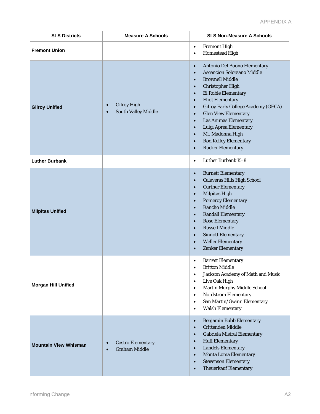| <b>SLS Districts</b>         | <b>Measure A Schools</b>                                                   | <b>SLS Non-Measure A Schools</b>                                                                                                                                                                                                                                                                                                                                                                                                                                                                                                                                         |
|------------------------------|----------------------------------------------------------------------------|--------------------------------------------------------------------------------------------------------------------------------------------------------------------------------------------------------------------------------------------------------------------------------------------------------------------------------------------------------------------------------------------------------------------------------------------------------------------------------------------------------------------------------------------------------------------------|
| <b>Fremont Union</b>         |                                                                            | <b>Fremont High</b><br>$\bullet$<br><b>Homestead High</b><br>$\bullet$                                                                                                                                                                                                                                                                                                                                                                                                                                                                                                   |
| <b>Gilroy Unified</b>        | <b>Gilroy High</b><br>$\bullet$<br><b>South Valley Middle</b><br>$\bullet$ | Antonio Del Buono Elementary<br>$\bullet$<br><b>Ascencion Solorsano Middle</b><br>$\bullet$<br><b>Brownell Middle</b><br>$\bullet$<br><b>Christopher High</b><br>$\bullet$<br>El Roble Elementary<br>$\bullet$<br><b>Eliot Elementary</b><br>$\bullet$<br><b>Gilroy Early College Academy (GECA)</b><br>$\bullet$<br><b>Glen View Elementary</b><br>$\bullet$<br><b>Las Animas Elementary</b><br>$\bullet$<br>Luigi Aprea Elementary<br>$\bullet$<br>Mt. Madonna High<br>$\bullet$<br><b>Rod Kelley Elementary</b><br>$\bullet$<br><b>Rucker Elementary</b><br>$\bullet$ |
| <b>Luther Burbank</b>        |                                                                            | Luther Burbank K-8<br>$\bullet$                                                                                                                                                                                                                                                                                                                                                                                                                                                                                                                                          |
| <b>Milpitas Unified</b>      |                                                                            | <b>Burnett Elementary</b><br>$\bullet$<br><b>Calaveras Hills High School</b><br>$\bullet$<br><b>Curtner Elementary</b><br>$\bullet$<br><b>Milpitas High</b><br>$\bullet$<br><b>Pomeroy Elementary</b><br>$\bullet$<br><b>Rancho Middle</b><br>$\bullet$<br><b>Randall Elementary</b><br>$\bullet$<br><b>Rose Elementary</b><br>$\bullet$<br><b>Russell Middle</b><br>$\bullet$<br><b>Sinnott Elementary</b><br>$\bullet$<br><b>Weller Elementary</b><br>$\bullet$<br><b>Zanker Elementary</b><br>$\bullet$                                                               |
| <b>Morgan Hill Unified</b>   |                                                                            | <b>Barrett Elementary</b><br>$\bullet$<br><b>Britton Middle</b><br>$\bullet$<br>Jackson Academy of Math and Music<br>$\bullet$<br>Live Oak High<br>$\bullet$<br><b>Martin Murphy Middle School</b><br>$\bullet$<br><b>Nordstrom Elementary</b><br>$\bullet$<br>San Martin/Gwinn Elementary<br>$\bullet$<br><b>Walsh Elementary</b><br>$\bullet$                                                                                                                                                                                                                          |
| <b>Mountain View Whisman</b> | <b>Castro Elementary</b><br>$\bullet$<br><b>Graham Middle</b><br>$\bullet$ | <b>Benjamin Bubb Elementary</b><br>$\bullet$<br><b>Crittenden Middle</b><br>$\bullet$<br><b>Gabriela Mistral Elementary</b><br>$\bullet$<br><b>Huff Elementary</b><br>$\bullet$<br><b>Landels Elementary</b><br>$\bullet$<br><b>Monta Loma Elementary</b><br>$\bullet$<br><b>Stevenson Elementary</b><br>$\bullet$<br><b>Theuerkauf Elementary</b><br>$\bullet$                                                                                                                                                                                                          |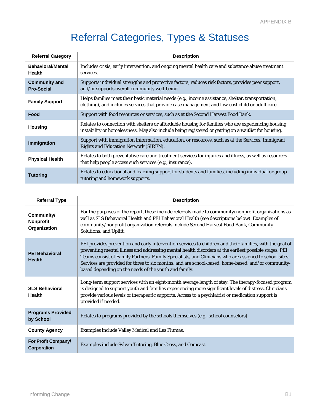## Referral Categories, Types & Statuses

| <b>Referral Category</b>                  | <b>Description</b>                                                                                                                                                                                          |
|-------------------------------------------|-------------------------------------------------------------------------------------------------------------------------------------------------------------------------------------------------------------|
| <b>Behavioral/Mental</b><br><b>Health</b> | Includes crisis, early intervention, and ongoing mental health care and substance abuse treatment<br>services.                                                                                              |
| <b>Community and</b><br><b>Pro-Social</b> | Supports individual strengths and protective factors, reduces risk factors, provides peer support,<br>and/or supports overall community well-being.                                                         |
| <b>Family Support</b>                     | Helps families meet their basic material needs (e.g., income assistance, shelter, transportation,<br>clothing), and includes services that provide case management and low-cost child or adult care.        |
| Food                                      | Support with food resources or services, such as at the Second Harvest Food Bank.                                                                                                                           |
| <b>Housing</b>                            | Relates to connection with shelters or affordable housing for families who are experiencing housing<br>instability or homelessness. May also include being registered or getting on a waitlist for housing. |
| Immigration                               | Support with immigration information, education, or resources, such as at the Services, Immigrant<br><b>Rights and Education Network (SIREN).</b>                                                           |
| <b>Physical Health</b>                    | Relates to both preventative care and treatment services for injuries and illness, as well as resources<br>that help people access such services (e.g., insurance).                                         |
| <b>Tutoring</b>                           | Relates to educational and learning support for students and families, including individual or group<br>tutoring and homework supports.                                                                     |

| <b>Referral Type</b>                    | <b>Description</b>                                                                                                                                                                                                                                                                                                                                                                                                                                                                         |  |
|-----------------------------------------|--------------------------------------------------------------------------------------------------------------------------------------------------------------------------------------------------------------------------------------------------------------------------------------------------------------------------------------------------------------------------------------------------------------------------------------------------------------------------------------------|--|
| Community/<br>Nonprofit<br>Organization | For the purposes of the report, these include referrals made to community/nonprofit organizations as<br>well as SLS Behavioral Health and PEI Behavioral Health (see descriptions below). Examples of<br>community/nonprofit organization referrals include Second Harvest Food Bank, Community<br>Solutions, and Uplift.                                                                                                                                                                  |  |
| <b>PEI Behavioral</b><br><b>Health</b>  | PEI provides prevention and early intervention services to children and their families, with the goal of<br>preventing mental illness and addressing mental health disorders at the earliest possible stages. PEI<br>Teams consist of Family Partners, Family Specialists, and Clinicians who are assigned to school sites.<br>Services are provided for three to six months, and are school-based, home-based, and/or community-<br>based depending on the needs of the youth and family. |  |
| <b>SLS Behavioral</b><br><b>Health</b>  | Long-term support services with an eight-month average length of stay. The therapy-focused program<br>is designed to support youth and families experiencing more significant levels of distress. Clinicians<br>provide various levels of therapeutic supports. Access to a psychiatrist or medication support is<br>provided if needed.                                                                                                                                                   |  |
| <b>Programs Provided</b><br>by School   | Relates to programs provided by the schools themselves (e.g., school counselors).                                                                                                                                                                                                                                                                                                                                                                                                          |  |
| <b>County Agency</b>                    | Examples include Valley Medical and Las Plumas.                                                                                                                                                                                                                                                                                                                                                                                                                                            |  |
| For Profit Company/<br>Corporation      | Examples include Sylvan Tutoring, Blue Cross, and Comcast.                                                                                                                                                                                                                                                                                                                                                                                                                                 |  |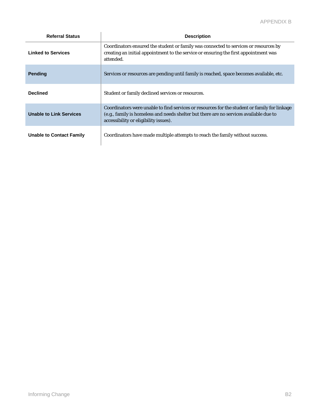| <b>Referral Status</b>          | <b>Description</b>                                                                                                                                                                                                              |
|---------------------------------|---------------------------------------------------------------------------------------------------------------------------------------------------------------------------------------------------------------------------------|
| <b>Linked to Services</b>       | Coordinators ensured the student or family was connected to services or resources by<br>creating an initial appointment to the service or ensuring the first appointment was<br>attended.                                       |
| <b>Pending</b>                  | Services or resources are pending until family is reached, space becomes available, etc.                                                                                                                                        |
| <b>Declined</b>                 | Student or family declined services or resources.                                                                                                                                                                               |
| <b>Unable to Link Services</b>  | Coordinators were unable to find services or resources for the student or family for linkage<br>(e.g., family is homeless and needs shelter but there are no services available due to<br>accessibility or eligibility issues). |
| <b>Unable to Contact Family</b> | Coordinators have made multiple attempts to reach the family without success.                                                                                                                                                   |